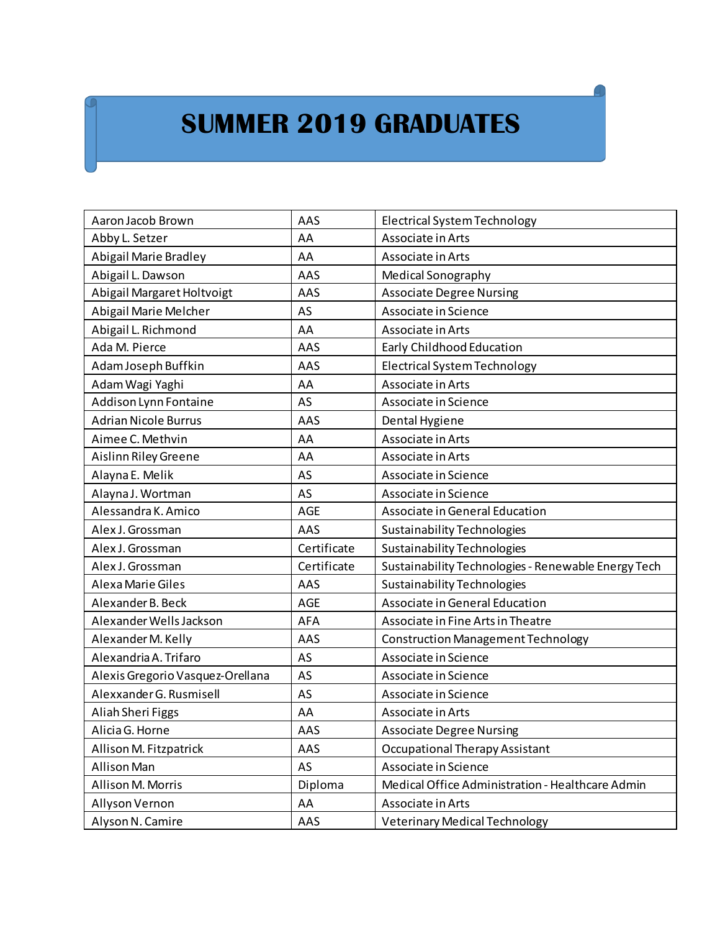## **SUMMER 2019 GRADUATES**

| Aaron Jacob Brown                | AAS         | <b>Electrical System Technology</b>                 |
|----------------------------------|-------------|-----------------------------------------------------|
| Abby L. Setzer                   | AA          | Associate in Arts                                   |
| Abigail Marie Bradley            | AA          | Associate in Arts                                   |
| Abigail L. Dawson                | AAS         | <b>Medical Sonography</b>                           |
| Abigail Margaret Holtvoigt       | AAS         | <b>Associate Degree Nursing</b>                     |
| Abigail Marie Melcher            | AS          | Associate in Science                                |
| Abigail L. Richmond              | AA          | Associate in Arts                                   |
| Ada M. Pierce                    | AAS         | Early Childhood Education                           |
| Adam Joseph Buffkin              | AAS         | <b>Electrical System Technology</b>                 |
| Adam Wagi Yaghi                  | AA          | Associate in Arts                                   |
| Addison Lynn Fontaine            | AS          | Associate in Science                                |
| <b>Adrian Nicole Burrus</b>      | AAS         | Dental Hygiene                                      |
| Aimee C. Methvin                 | AA          | Associate in Arts                                   |
| Aislinn Riley Greene             | AA          | Associate in Arts                                   |
| Alayna E. Melik                  | AS          | Associate in Science                                |
| Alayna J. Wortman                | AS          | Associate in Science                                |
| Alessandra K. Amico              | <b>AGE</b>  | Associate in General Education                      |
|                                  |             |                                                     |
| Alex J. Grossman                 | AAS         | <b>Sustainability Technologies</b>                  |
| Alex J. Grossman                 | Certificate | Sustainability Technologies                         |
| Alex J. Grossman                 | Certificate | Sustainability Technologies - Renewable Energy Tech |
| Alexa Marie Giles                | AAS         | <b>Sustainability Technologies</b>                  |
| Alexander B. Beck                | <b>AGE</b>  | Associate in General Education                      |
| Alexander Wells Jackson          | <b>AFA</b>  | Associate in Fine Arts in Theatre                   |
| Alexander M. Kelly               | AAS         | <b>Construction Management Technology</b>           |
| Alexandria A. Trifaro            | AS          | Associate in Science                                |
| Alexis Gregorio Vasquez-Orellana | AS          | Associate in Science                                |
| Alexxander G. Rusmisell          | AS          | Associate in Science                                |
| Aliah Sheri Figgs                | AA          | Associate in Arts                                   |
| Alicia G. Horne                  | AAS         | <b>Associate Degree Nursing</b>                     |
| Allison M. Fitzpatrick           | AAS         | <b>Occupational Therapy Assistant</b>               |
| Allison Man                      | AS          | Associate in Science                                |
| Allison M. Morris                | Diploma     | Medical Office Administration - Healthcare Admin    |
| Allyson Vernon                   | AA          | Associate in Arts                                   |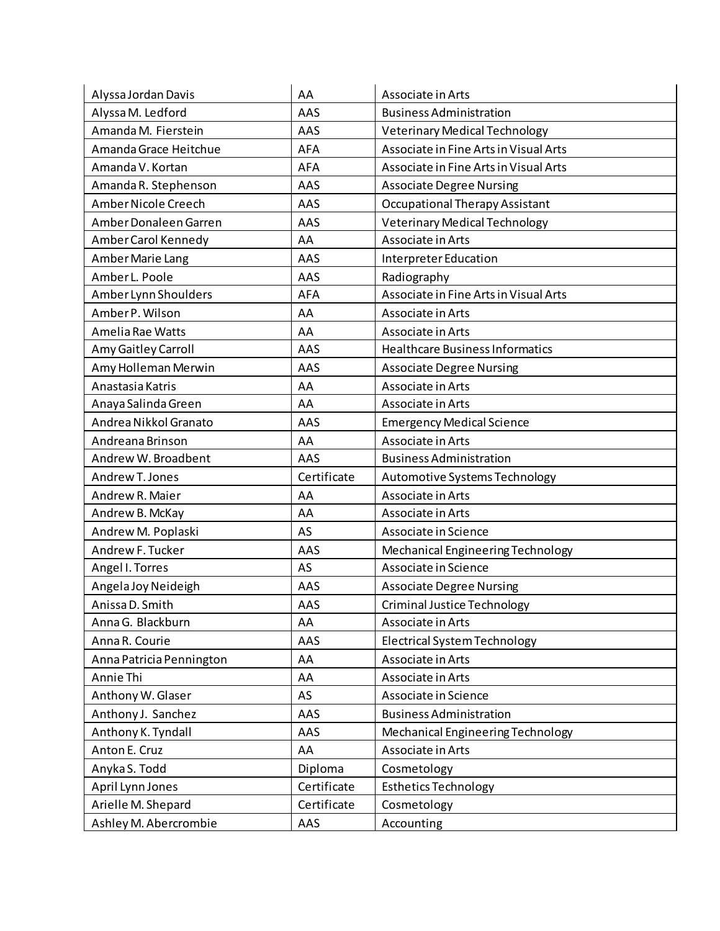| Alyssa Jordan Davis      | AA          | Associate in Arts                      |
|--------------------------|-------------|----------------------------------------|
| Alyssa M. Ledford        | AAS         | <b>Business Administration</b>         |
| Amanda M. Fierstein      | AAS         | <b>Veterinary Medical Technology</b>   |
| Amanda Grace Heitchue    | <b>AFA</b>  | Associate in Fine Arts in Visual Arts  |
| Amanda V. Kortan         | <b>AFA</b>  | Associate in Fine Arts in Visual Arts  |
| Amanda R. Stephenson     | AAS         | <b>Associate Degree Nursing</b>        |
| Amber Nicole Creech      | AAS         | <b>Occupational Therapy Assistant</b>  |
| Amber Donaleen Garren    | AAS         | <b>Veterinary Medical Technology</b>   |
| Amber Carol Kennedy      | AA          | Associate in Arts                      |
| Amber Marie Lang         | AAS         | Interpreter Education                  |
| Amber L. Poole           | AAS         | Radiography                            |
| Amber Lynn Shoulders     | <b>AFA</b>  | Associate in Fine Arts in Visual Arts  |
| Amber P. Wilson          | AA          | Associate in Arts                      |
| Amelia Rae Watts         | AA          | Associate in Arts                      |
| Amy Gaitley Carroll      | AAS         | <b>Healthcare Business Informatics</b> |
| Amy Holleman Merwin      | AAS         | <b>Associate Degree Nursing</b>        |
| Anastasia Katris         | AA          | Associate in Arts                      |
| Anaya Salinda Green      | AA          | Associate in Arts                      |
| Andrea Nikkol Granato    | AAS         | <b>Emergency Medical Science</b>       |
| Andreana Brinson         | AA          | Associate in Arts                      |
| Andrew W. Broadbent      | AAS         | <b>Business Administration</b>         |
| Andrew T. Jones          | Certificate | Automotive Systems Technology          |
| Andrew R. Maier          | AA          | Associate in Arts                      |
| Andrew B. McKay          | AA          | Associate in Arts                      |
| Andrew M. Poplaski       | AS          | Associate in Science                   |
| Andrew F. Tucker         | AAS         | Mechanical Engineering Technology      |
| Angel I. Torres          | AS          | Associate in Science                   |
| Angela Joy Neideigh      | AAS         | <b>Associate Degree Nursing</b>        |
| Anissa D. Smith          | AAS         | <b>Criminal Justice Technology</b>     |
| Anna G. Blackburn        | AA          | Associate in Arts                      |
| Anna R. Courie           | AAS         | <b>Electrical System Technology</b>    |
| Anna Patricia Pennington | AA          | Associate in Arts                      |
| Annie Thi                | AA          | Associate in Arts                      |
| Anthony W. Glaser        | AS          | Associate in Science                   |
| Anthony J. Sanchez       | AAS         | <b>Business Administration</b>         |
| Anthony K. Tyndall       | AAS         | Mechanical Engineering Technology      |
| Anton E. Cruz            | AA          | Associate in Arts                      |
| Anyka S. Todd            | Diploma     | Cosmetology                            |
| April Lynn Jones         | Certificate | <b>Esthetics Technology</b>            |
| Arielle M. Shepard       | Certificate | Cosmetology                            |
| Ashley M. Abercrombie    | AAS         | Accounting                             |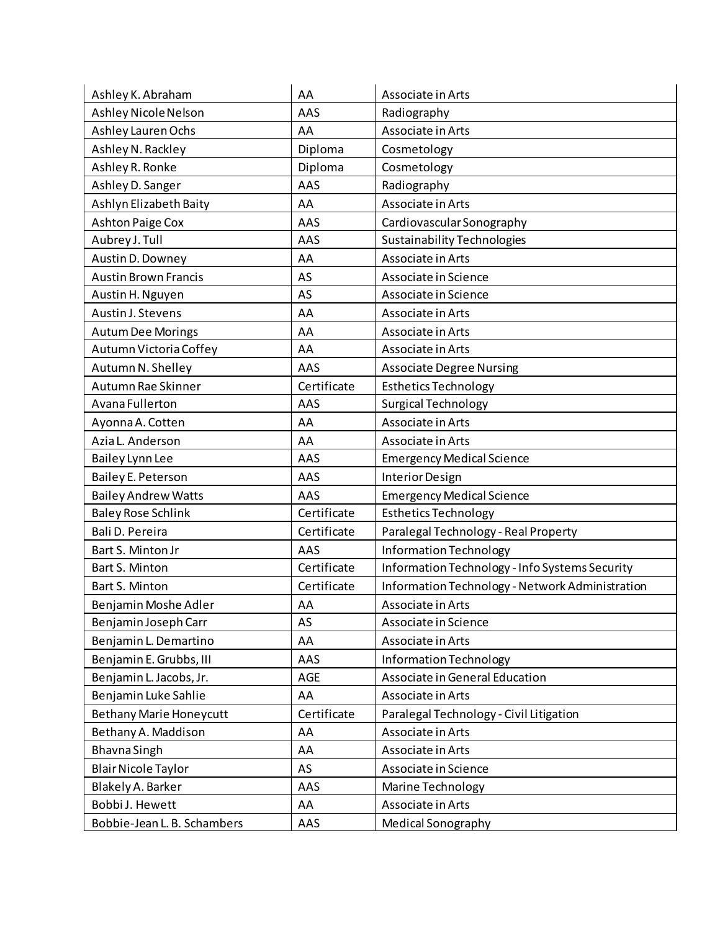| Ashley K. Abraham              | AA          | Associate in Arts                               |
|--------------------------------|-------------|-------------------------------------------------|
| Ashley Nicole Nelson           | AAS         | Radiography                                     |
| Ashley Lauren Ochs             | AA          | Associate in Arts                               |
| Ashley N. Rackley              | Diploma     | Cosmetology                                     |
| Ashley R. Ronke                | Diploma     | Cosmetology                                     |
| Ashley D. Sanger               | AAS         | Radiography                                     |
| Ashlyn Elizabeth Baity         | AA          | Associate in Arts                               |
| <b>Ashton Paige Cox</b>        | AAS         | Cardiovascular Sonography                       |
| Aubrey J. Tull                 | AAS         | <b>Sustainability Technologies</b>              |
| Austin D. Downey               | AA          | Associate in Arts                               |
| <b>Austin Brown Francis</b>    | AS          | Associate in Science                            |
| Austin H. Nguyen               | AS          | Associate in Science                            |
| Austin J. Stevens              | AA          | Associate in Arts                               |
| <b>Autum Dee Morings</b>       | AA          | Associate in Arts                               |
| Autumn Victoria Coffey         | AA          | Associate in Arts                               |
| Autumn N. Shelley              | AAS         | <b>Associate Degree Nursing</b>                 |
| Autumn Rae Skinner             | Certificate | <b>Esthetics Technology</b>                     |
| Avana Fullerton                | AAS         | <b>Surgical Technology</b>                      |
| Ayonna A. Cotten               | AA          | Associate in Arts                               |
| Azia L. Anderson               | AA          | Associate in Arts                               |
| Bailey Lynn Lee                | AAS         | <b>Emergency Medical Science</b>                |
| Bailey E. Peterson             | AAS         | <b>Interior Design</b>                          |
| <b>Bailey Andrew Watts</b>     | AAS         | <b>Emergency Medical Science</b>                |
| <b>Baley Rose Schlink</b>      | Certificate | <b>Esthetics Technology</b>                     |
| Bali D. Pereira                | Certificate | Paralegal Technology - Real Property            |
| Bart S. Minton Jr              | AAS         | <b>Information Technology</b>                   |
| Bart S. Minton                 | Certificate | Information Technology - Info Systems Security  |
| Bart S. Minton                 | Certificate | Information Technology - Network Administration |
| Benjamin Moshe Adler           | AA          | Associate in Arts                               |
| Benjamin Joseph Carr           | AS          | Associate in Science                            |
| Benjamin L. Demartino          | AA          | Associate in Arts                               |
| Benjamin E. Grubbs, III        | AAS         | Information Technology                          |
| Benjamin L. Jacobs, Jr.        | <b>AGE</b>  | Associate in General Education                  |
| Benjamin Luke Sahlie           | AA          | Associate in Arts                               |
| <b>Bethany Marie Honeycutt</b> | Certificate | Paralegal Technology - Civil Litigation         |
| Bethany A. Maddison            | AA          | Associate in Arts                               |
| Bhavna Singh                   | AA          | Associate in Arts                               |
| <b>Blair Nicole Taylor</b>     | AS          | Associate in Science                            |
| Blakely A. Barker              | AAS         | Marine Technology                               |
| Bobbi J. Hewett                | AA          | Associate in Arts                               |
| Bobbie-Jean L. B. Schambers    | AAS         | Medical Sonography                              |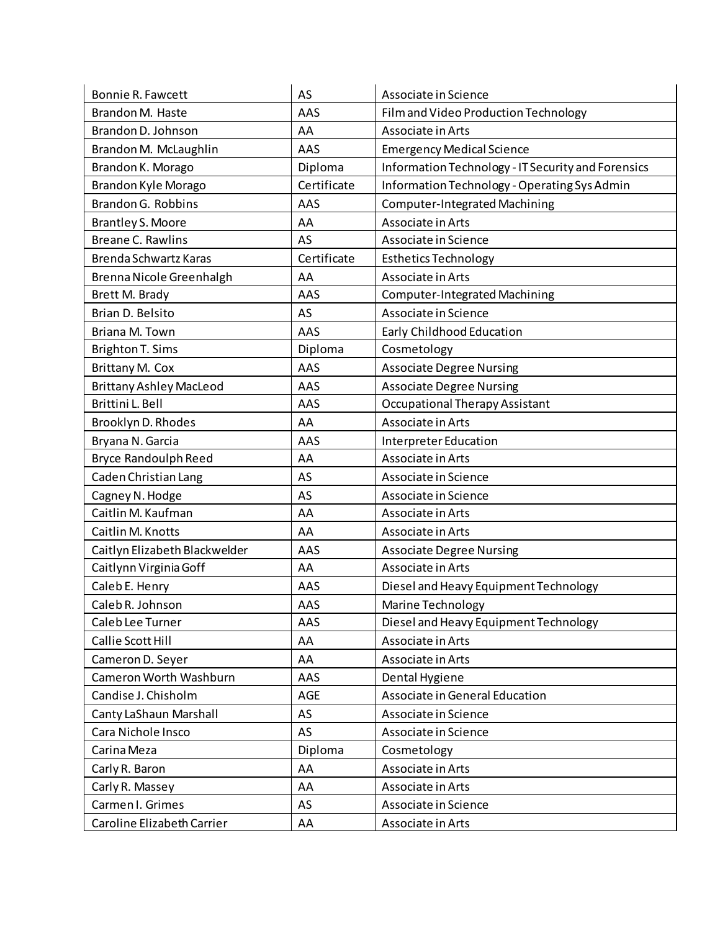| Bonnie R. Fawcett              | AS          | Associate in Science                               |
|--------------------------------|-------------|----------------------------------------------------|
| Brandon M. Haste               | AAS         | Film and Video Production Technology               |
| Brandon D. Johnson             | AA          | Associate in Arts                                  |
| Brandon M. McLaughlin          | AAS         | <b>Emergency Medical Science</b>                   |
| Brandon K. Morago              | Diploma     | Information Technology - IT Security and Forensics |
| Brandon Kyle Morago            | Certificate | Information Technology - Operating Sys Admin       |
| Brandon G. Robbins             | AAS         | <b>Computer-Integrated Machining</b>               |
| <b>Brantley S. Moore</b>       | AA          | Associate in Arts                                  |
| Breane C. Rawlins              | AS          | Associate in Science                               |
| Brenda Schwartz Karas          | Certificate | <b>Esthetics Technology</b>                        |
| Brenna Nicole Greenhalgh       | AA          | Associate in Arts                                  |
| Brett M. Brady                 | AAS         | Computer-Integrated Machining                      |
| Brian D. Belsito               | AS          | Associate in Science                               |
| Briana M. Town                 | AAS         | Early Childhood Education                          |
| <b>Brighton T. Sims</b>        | Diploma     | Cosmetology                                        |
| Brittany M. Cox                | AAS         | <b>Associate Degree Nursing</b>                    |
| <b>Brittany Ashley MacLeod</b> | AAS         | <b>Associate Degree Nursing</b>                    |
| Brittini L. Bell               | AAS         | <b>Occupational Therapy Assistant</b>              |
| Brooklyn D. Rhodes             | AA          | Associate in Arts                                  |
| Bryana N. Garcia               | AAS         | Interpreter Education                              |
| Bryce Randoulph Reed           | AA          | Associate in Arts                                  |
| Caden Christian Lang           | AS          | Associate in Science                               |
| Cagney N. Hodge                | AS          | Associate in Science                               |
| Caitlin M. Kaufman             | AA          | Associate in Arts                                  |
| Caitlin M. Knotts              | AA          | Associate in Arts                                  |
| Caitlyn Elizabeth Blackwelder  | AAS         | <b>Associate Degree Nursing</b>                    |
| Caitlynn Virginia Goff         | AA          | Associate in Arts                                  |
| Caleb E. Henry                 | AAS         | Diesel and Heavy Equipment Technology              |
| Caleb R. Johnson               | AAS         | Marine Technology                                  |
| Caleb Lee Turner               | AAS         | Diesel and Heavy Equipment Technology              |
| Callie Scott Hill              | AA          | Associate in Arts                                  |
| Cameron D. Seyer               | AA          | Associate in Arts                                  |
| Cameron Worth Washburn         | AAS         | Dental Hygiene                                     |
| Candise J. Chisholm            | AGE         | Associate in General Education                     |
| Canty LaShaun Marshall         | AS          | Associate in Science                               |
| Cara Nichole Insco             | AS          | Associate in Science                               |
| Carina Meza                    | Diploma     | Cosmetology                                        |
| Carly R. Baron                 | AA          | Associate in Arts                                  |
| Carly R. Massey                | AA          | Associate in Arts                                  |
| Carmen I. Grimes               | AS          | Associate in Science                               |
| Caroline Elizabeth Carrier     | AA          | Associate in Arts                                  |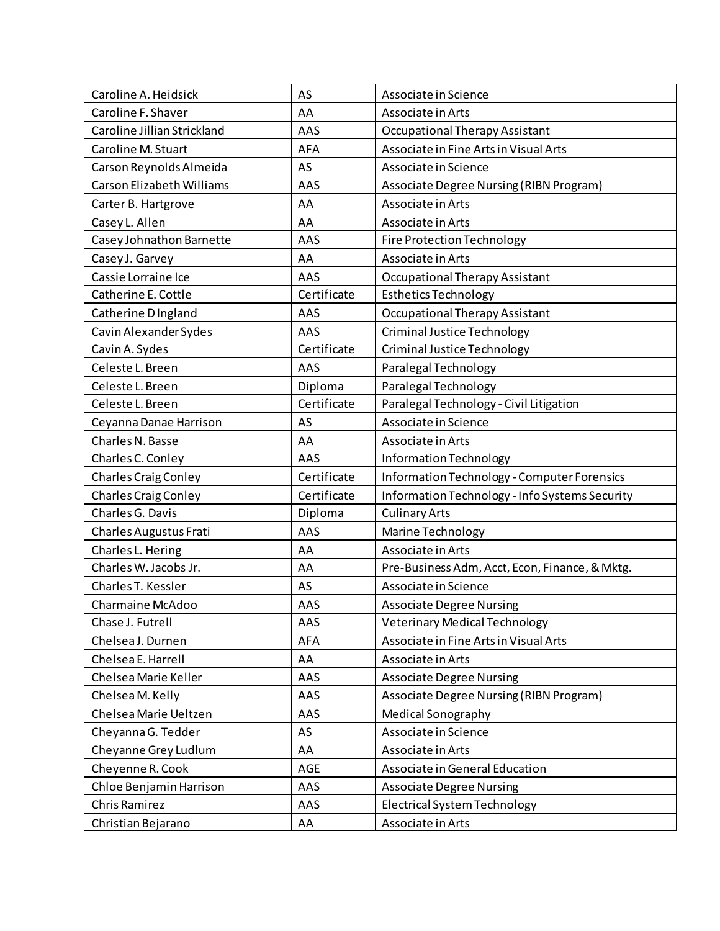| Caroline A. Heidsick             | AS          | Associate in Science                           |
|----------------------------------|-------------|------------------------------------------------|
| Caroline F. Shaver               | AA          | Associate in Arts                              |
| Caroline Jillian Strickland      | AAS         | <b>Occupational Therapy Assistant</b>          |
| Caroline M. Stuart               | <b>AFA</b>  | Associate in Fine Arts in Visual Arts          |
| Carson Reynolds Almeida          | AS          | Associate in Science                           |
| <b>Carson Elizabeth Williams</b> | AAS         | Associate Degree Nursing (RIBN Program)        |
| Carter B. Hartgrove              | AA          | Associate in Arts                              |
| Casey L. Allen                   | AA          | Associate in Arts                              |
| Casey Johnathon Barnette         | AAS         | <b>Fire Protection Technology</b>              |
| Casey J. Garvey                  | AA          | Associate in Arts                              |
| Cassie Lorraine Ice              | AAS         | <b>Occupational Therapy Assistant</b>          |
| Catherine E. Cottle              | Certificate | <b>Esthetics Technology</b>                    |
| Catherine D Ingland              | AAS         | <b>Occupational Therapy Assistant</b>          |
| Cavin Alexander Sydes            | AAS         | <b>Criminal Justice Technology</b>             |
| Cavin A. Sydes                   | Certificate | Criminal Justice Technology                    |
| Celeste L. Breen                 | AAS         | Paralegal Technology                           |
| Celeste L. Breen                 | Diploma     | Paralegal Technology                           |
| Celeste L. Breen                 | Certificate | Paralegal Technology - Civil Litigation        |
| Ceyanna Danae Harrison           | AS          | Associate in Science                           |
| Charles N. Basse                 | AA          | Associate in Arts                              |
| Charles C. Conley                | AAS         | Information Technology                         |
| <b>Charles Craig Conley</b>      | Certificate | Information Technology - Computer Forensics    |
| <b>Charles Craig Conley</b>      | Certificate | Information Technology - Info Systems Security |
| Charles G. Davis                 | Diploma     | <b>Culinary Arts</b>                           |
| Charles Augustus Frati           | AAS         | Marine Technology                              |
| Charles L. Hering                | AA          | Associate in Arts                              |
| Charles W. Jacobs Jr.            | AA          | Pre-Business Adm, Acct, Econ, Finance, & Mktg. |
| Charles T. Kessler               | AS          | Associate in Science                           |
| Charmaine McAdoo                 | AAS         | <b>Associate Degree Nursing</b>                |
| Chase J. Futrell                 | AAS         | <b>Veterinary Medical Technology</b>           |
| Chelsea J. Durnen                | <b>AFA</b>  | Associate in Fine Arts in Visual Arts          |
| Chelsea E. Harrell               | AA          | Associate in Arts                              |
| Chelsea Marie Keller             | AAS         | <b>Associate Degree Nursing</b>                |
| Chelsea M. Kelly                 | AAS         | Associate Degree Nursing (RIBN Program)        |
| Chelsea Marie Ueltzen            | AAS         | <b>Medical Sonography</b>                      |
| Cheyanna G. Tedder               | AS          | Associate in Science                           |
| Cheyanne Grey Ludlum             | AA          | Associate in Arts                              |
| Cheyenne R. Cook                 | AGE         | Associate in General Education                 |
| Chloe Benjamin Harrison          | AAS         | <b>Associate Degree Nursing</b>                |
| Chris Ramirez                    | AAS         | <b>Electrical System Technology</b>            |
| Christian Bejarano               | AA          | Associate in Arts                              |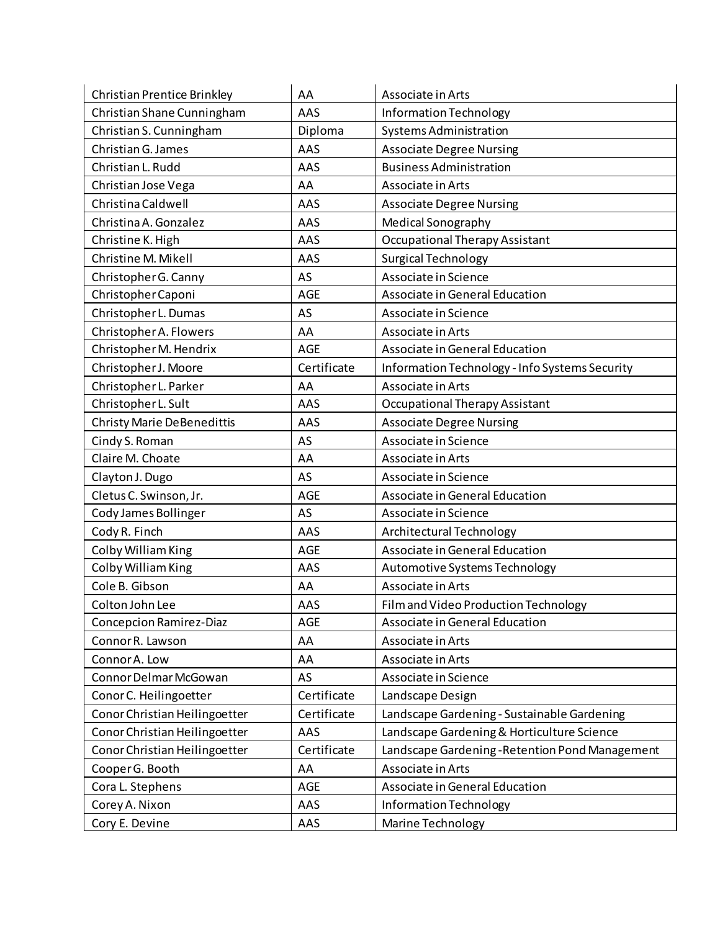| Christian Prentice Brinkley       | AA          | Associate in Arts                              |
|-----------------------------------|-------------|------------------------------------------------|
| Christian Shane Cunningham        | AAS         | Information Technology                         |
| Christian S. Cunningham           | Diploma     | <b>Systems Administration</b>                  |
| Christian G. James                | AAS         | <b>Associate Degree Nursing</b>                |
| Christian L. Rudd                 | AAS         | <b>Business Administration</b>                 |
| Christian Jose Vega               | AA          | Associate in Arts                              |
| Christina Caldwell                | AAS         | <b>Associate Degree Nursing</b>                |
| Christina A. Gonzalez             | AAS         | Medical Sonography                             |
| Christine K. High                 | AAS         | <b>Occupational Therapy Assistant</b>          |
| Christine M. Mikell               | AAS         | Surgical Technology                            |
| Christopher G. Canny              | AS          | Associate in Science                           |
| Christopher Caponi                | <b>AGE</b>  | Associate in General Education                 |
| Christopher L. Dumas              | AS          | Associate in Science                           |
| Christopher A. Flowers            | AA          | Associate in Arts                              |
| Christopher M. Hendrix            | <b>AGE</b>  | Associate in General Education                 |
| Christopher J. Moore              | Certificate | Information Technology - Info Systems Security |
| Christopher L. Parker             | AA          | Associate in Arts                              |
| Christopher L. Sult               | AAS         | Occupational Therapy Assistant                 |
| <b>Christy Marie DeBenedittis</b> | AAS         | <b>Associate Degree Nursing</b>                |
| Cindy S. Roman                    | AS          | Associate in Science                           |
| Claire M. Choate                  | AA          | Associate in Arts                              |
| Clayton J. Dugo                   | AS          | Associate in Science                           |
| Cletus C. Swinson, Jr.            | <b>AGE</b>  | Associate in General Education                 |
| Cody James Bollinger              | AS          | Associate in Science                           |
| Cody R. Finch                     | AAS         | Architectural Technology                       |
| Colby William King                | <b>AGE</b>  | Associate in General Education                 |
| Colby William King                | AAS         | Automotive Systems Technology                  |
| Cole B. Gibson                    | AA          | Associate in Arts                              |
| Colton John Lee                   | AAS         | Film and Video Production Technology           |
| Concepcion Ramirez-Diaz           | AGE         | Associate in General Education                 |
| Connor R. Lawson                  | AA          | Associate in Arts                              |
| Connor A. Low                     | AA          | Associate in Arts                              |
| Connor Delmar McGowan             | AS          | Associate in Science                           |
| Conor C. Heilingoetter            | Certificate | Landscape Design                               |
| Conor Christian Heilingoetter     | Certificate | Landscape Gardening - Sustainable Gardening    |
| Conor Christian Heilingoetter     | AAS         | Landscape Gardening & Horticulture Science     |
| Conor Christian Heilingoetter     | Certificate | Landscape Gardening-Retention Pond Management  |
| Cooper G. Booth                   | AA          | Associate in Arts                              |
| Cora L. Stephens                  | AGE         | Associate in General Education                 |
| Corey A. Nixon                    | AAS         | Information Technology                         |
| Cory E. Devine                    | AAS         | Marine Technology                              |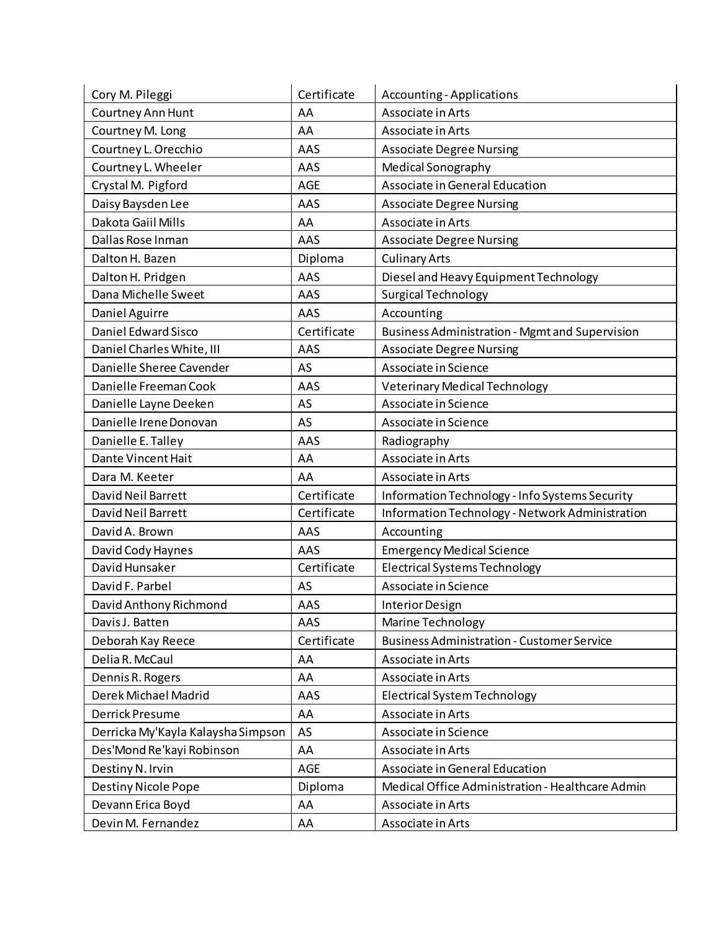| Cory M. Pileggi                    | Certificate | <b>Accounting - Applications</b>                      |
|------------------------------------|-------------|-------------------------------------------------------|
| Courtney Ann Hunt                  | AA          | Associate in Arts                                     |
| Courtney M. Long                   | AA          | Associate in Arts                                     |
| Courtney L. Orecchio               | AAS         | <b>Associate Degree Nursing</b>                       |
| Courtney L. Wheeler                | AAS         | <b>Medical Sonography</b>                             |
| Crystal M. Pigford                 | <b>AGE</b>  | Associate in General Education                        |
| Daisy Baysden Lee                  | AAS         | <b>Associate Degree Nursing</b>                       |
| Dakota Gaiil Mills                 | AA          | Associate in Arts                                     |
| Dallas Rose Inman                  | AAS         | <b>Associate Degree Nursing</b>                       |
| Dalton H. Bazen                    | Diploma     | <b>Culinary Arts</b>                                  |
| Dalton H. Pridgen                  | AAS         | Diesel and Heavy Equipment Technology                 |
| Dana Michelle Sweet                | AAS         | <b>Surgical Technology</b>                            |
| Daniel Aguirre                     | AAS         | Accounting                                            |
| Daniel Edward Sisco                | Certificate | <b>Business Administration - Mgmt and Supervision</b> |
| Daniel Charles White, III          | AAS         | <b>Associate Degree Nursing</b>                       |
| Danielle Sheree Cavender           | AS          | Associate in Science                                  |
| Danielle Freeman Cook              | AAS         | <b>Veterinary Medical Technology</b>                  |
| Danielle Layne Deeken              | AS          | Associate in Science                                  |
| Danielle Irene Donovan             | AS          | Associate in Science                                  |
| Danielle E. Talley                 | AAS         | Radiography                                           |
| Dante Vincent Hait                 | AA          | Associate in Arts                                     |
| Dara M. Keeter                     | AA          | Associate in Arts                                     |
| David Neil Barrett                 | Certificate | Information Technology - Info Systems Security        |
| David Neil Barrett                 | Certificate | Information Technology - Network Administration       |
| David A. Brown                     | AAS         | Accounting                                            |
| David Cody Haynes                  | AAS         | <b>Emergency Medical Science</b>                      |
| David Hunsaker                     | Certificate | <b>Electrical Systems Technology</b>                  |
| David F. Parbel                    | AS          | Associate in Science                                  |
| David Anthony Richmond             | AAS         | <b>Interior Design</b>                                |
| Davis J. Batten                    | AAS         | Marine Technology                                     |
| Deborah Kay Reece                  | Certificate | <b>Business Administration - Customer Service</b>     |
| Delia R. McCaul                    | AA          | Associate in Arts                                     |
| Dennis R. Rogers                   | AA          | Associate in Arts                                     |
| Derek Michael Madrid               | AAS         | <b>Electrical System Technology</b>                   |
| Derrick Presume                    | AA          | Associate in Arts                                     |
| Derricka My'Kayla Kalaysha Simpson | AS          | Associate in Science                                  |
| Des'Mond Re'kayi Robinson          | AA          | Associate in Arts                                     |
| Destiny N. Irvin                   | <b>AGE</b>  | Associate in General Education                        |
| Destiny Nicole Pope                | Diploma     | Medical Office Administration - Healthcare Admin      |
| Devann Erica Boyd                  | AA          | Associate in Arts                                     |
| Devin M. Fernandez                 | AA          | Associate in Arts                                     |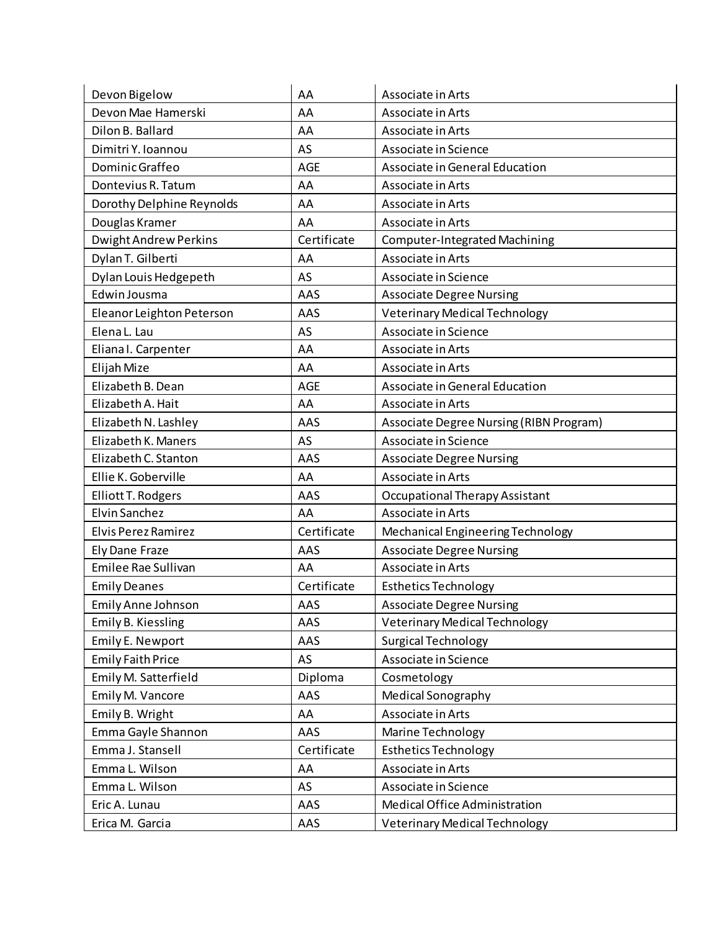| Devon Bigelow                | AA          | Associate in Arts                       |
|------------------------------|-------------|-----------------------------------------|
| Devon Mae Hamerski           | AA          | Associate in Arts                       |
| Dilon B. Ballard             | AA          | Associate in Arts                       |
| Dimitri Y. Ioannou           | AS          | Associate in Science                    |
| Dominic Graffeo              | <b>AGE</b>  | Associate in General Education          |
| Dontevius R. Tatum           | AA          | Associate in Arts                       |
| Dorothy Delphine Reynolds    | AA          | Associate in Arts                       |
| Douglas Kramer               | AA          | Associate in Arts                       |
| <b>Dwight Andrew Perkins</b> | Certificate | Computer-Integrated Machining           |
| Dylan T. Gilberti            | AA          | Associate in Arts                       |
| Dylan Louis Hedgepeth        | AS          | Associate in Science                    |
| Edwin Jousma                 | AAS         | <b>Associate Degree Nursing</b>         |
| Eleanor Leighton Peterson    | AAS         | <b>Veterinary Medical Technology</b>    |
| Elena L. Lau                 | AS          | Associate in Science                    |
| Eliana I. Carpenter          | AA          | Associate in Arts                       |
| Elijah Mize                  | AA          | Associate in Arts                       |
| Elizabeth B. Dean            | <b>AGE</b>  | Associate in General Education          |
| Elizabeth A. Hait            | AA          | Associate in Arts                       |
| Elizabeth N. Lashley         | AAS         | Associate Degree Nursing (RIBN Program) |
| Elizabeth K. Maners          | AS          | Associate in Science                    |
| Elizabeth C. Stanton         | AAS         | <b>Associate Degree Nursing</b>         |
| Ellie K. Goberville          | AA          | Associate in Arts                       |
| Elliott T. Rodgers           | AAS         | Occupational Therapy Assistant          |
| Elvin Sanchez                | AA          | Associate in Arts                       |
| Elvis Perez Ramirez          | Certificate | Mechanical Engineering Technology       |
| <b>Ely Dane Fraze</b>        | AAS         | <b>Associate Degree Nursing</b>         |
| Emilee Rae Sullivan          | AA          | Associate in Arts                       |
| <b>Emily Deanes</b>          | Certificate | <b>Esthetics Technology</b>             |
| Emily Anne Johnson           | AAS         | <b>Associate Degree Nursing</b>         |
| Emily B. Kiessling           | AAS         | <b>Veterinary Medical Technology</b>    |
| Emily E. Newport             | AAS         | <b>Surgical Technology</b>              |
| <b>Emily Faith Price</b>     | AS          | Associate in Science                    |
| Emily M. Satterfield         | Diploma     | Cosmetology                             |
| Emily M. Vancore             | AAS         | Medical Sonography                      |
| Emily B. Wright              | AA          | Associate in Arts                       |
| Emma Gayle Shannon           | AAS         | Marine Technology                       |
| Emma J. Stansell             | Certificate | <b>Esthetics Technology</b>             |
| Emma L. Wilson               | AA          | Associate in Arts                       |
| Emma L. Wilson               | AS          | Associate in Science                    |
| Eric A. Lunau                | AAS         | Medical Office Administration           |
| Erica M. Garcia              | AAS         | <b>Veterinary Medical Technology</b>    |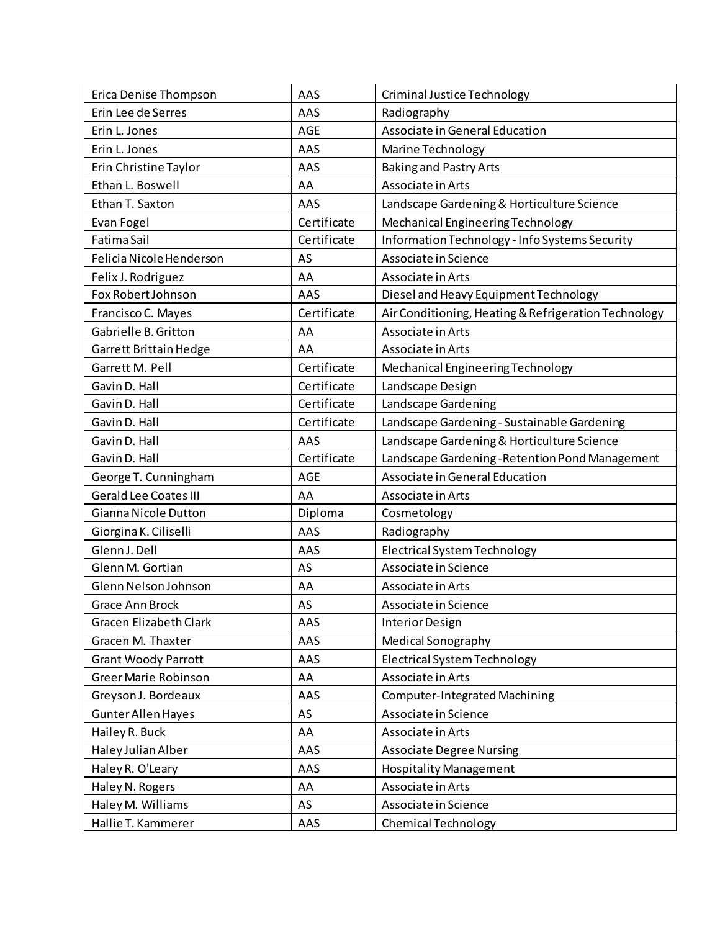| Erica Denise Thompson        | AAS         | Criminal Justice Technology                          |
|------------------------------|-------------|------------------------------------------------------|
| Erin Lee de Serres           | AAS         | Radiography                                          |
| Erin L. Jones                | <b>AGE</b>  | Associate in General Education                       |
| Erin L. Jones                | AAS         | Marine Technology                                    |
| Erin Christine Taylor        | AAS         | <b>Baking and Pastry Arts</b>                        |
| Ethan L. Boswell             | AA          | Associate in Arts                                    |
| Ethan T. Saxton              | AAS         | Landscape Gardening & Horticulture Science           |
| Evan Fogel                   | Certificate | Mechanical Engineering Technology                    |
| Fatima Sail                  | Certificate | Information Technology - Info Systems Security       |
| Felicia Nicole Henderson     | AS          | Associate in Science                                 |
| Felix J. Rodriguez           | AA          | Associate in Arts                                    |
| Fox Robert Johnson           | AAS         | Diesel and Heavy Equipment Technology                |
| Francisco C. Mayes           | Certificate | Air Conditioning, Heating & Refrigeration Technology |
| Gabrielle B. Gritton         | AA          | Associate in Arts                                    |
| Garrett Brittain Hedge       | AA          | Associate in Arts                                    |
| Garrett M. Pell              | Certificate | Mechanical Engineering Technology                    |
| Gavin D. Hall                | Certificate | Landscape Design                                     |
| Gavin D. Hall                | Certificate | Landscape Gardening                                  |
| Gavin D. Hall                | Certificate | Landscape Gardening - Sustainable Gardening          |
| Gavin D. Hall                | AAS         | Landscape Gardening & Horticulture Science           |
| Gavin D. Hall                | Certificate | Landscape Gardening-Retention Pond Management        |
| George T. Cunningham         | AGE         | Associate in General Education                       |
| <b>Gerald Lee Coates III</b> | AA          | Associate in Arts                                    |
| Gianna Nicole Dutton         | Diploma     | Cosmetology                                          |
| Giorgina K. Ciliselli        | AAS         | Radiography                                          |
| Glenn J. Dell                | AAS         | <b>Electrical System Technology</b>                  |
| Glenn M. Gortian             | AS          | Associate in Science                                 |
| Glenn Nelson Johnson         | AA          | Associate in Arts                                    |
| Grace Ann Brock              | AS          | Associate in Science                                 |
| Gracen Elizabeth Clark       | AAS         | Interior Design                                      |
| Gracen M. Thaxter            | AAS         | <b>Medical Sonography</b>                            |
| <b>Grant Woody Parrott</b>   | AAS         | <b>Electrical System Technology</b>                  |
| <b>Greer Marie Robinson</b>  | AA          | Associate in Arts                                    |
| Greyson J. Bordeaux          | AAS         | <b>Computer-Integrated Machining</b>                 |
| Gunter Allen Hayes           | AS          | Associate in Science                                 |
| Hailey R. Buck               | AA          | Associate in Arts                                    |
| Haley Julian Alber           | AAS         | <b>Associate Degree Nursing</b>                      |
| Haley R. O'Leary             | AAS         | <b>Hospitality Management</b>                        |
| Haley N. Rogers              | AA          | Associate in Arts                                    |
| Haley M. Williams            | AS          | Associate in Science                                 |
| Hallie T. Kammerer           | AAS         | <b>Chemical Technology</b>                           |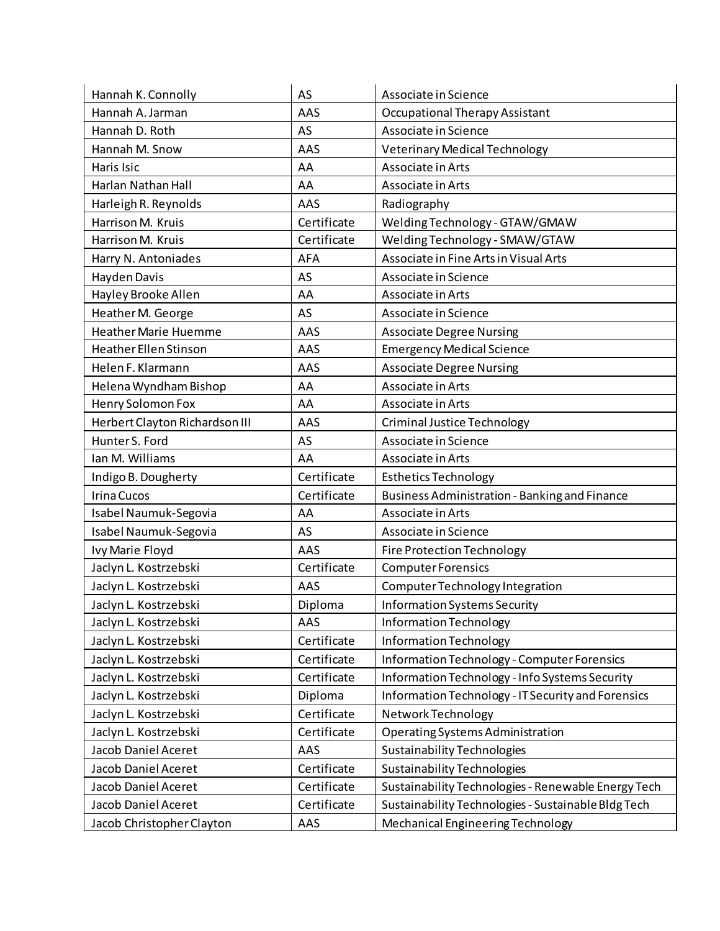| Hannah K. Connolly             | AS          | Associate in Science                                |
|--------------------------------|-------------|-----------------------------------------------------|
| Hannah A. Jarman               | AAS         | <b>Occupational Therapy Assistant</b>               |
| Hannah D. Roth                 | AS          | Associate in Science                                |
| Hannah M. Snow                 | AAS         | <b>Veterinary Medical Technology</b>                |
| Haris Isic                     | AA          | Associate in Arts                                   |
| Harlan Nathan Hall             | AA          | Associate in Arts                                   |
| Harleigh R. Reynolds           | AAS         | Radiography                                         |
| Harrison M. Kruis              | Certificate | Welding Technology - GTAW/GMAW                      |
| Harrison M. Kruis              | Certificate | Welding Technology - SMAW/GTAW                      |
| Harry N. Antoniades            | <b>AFA</b>  | Associate in Fine Arts in Visual Arts               |
| Hayden Davis                   | AS          | Associate in Science                                |
| Hayley Brooke Allen            | AA          | Associate in Arts                                   |
| Heather M. George              | AS          | Associate in Science                                |
| <b>Heather Marie Huemme</b>    | AAS         | <b>Associate Degree Nursing</b>                     |
| <b>Heather Ellen Stinson</b>   | AAS         | <b>Emergency Medical Science</b>                    |
| Helen F. Klarmann              | AAS         | <b>Associate Degree Nursing</b>                     |
| Helena Wyndham Bishop          | AA          | Associate in Arts                                   |
| Henry Solomon Fox              | AA          | Associate in Arts                                   |
| Herbert Clayton Richardson III | AAS         | <b>Criminal Justice Technology</b>                  |
| Hunter S. Ford                 | AS          | Associate in Science                                |
| Ian M. Williams                | AA          | Associate in Arts                                   |
| Indigo B. Dougherty            | Certificate | <b>Esthetics Technology</b>                         |
| Irina Cucos                    | Certificate | Business Administration - Banking and Finance       |
| Isabel Naumuk-Segovia          | AA          | Associate in Arts                                   |
| Isabel Naumuk-Segovia          | AS          | Associate in Science                                |
| Ivy Marie Floyd                | AAS         | Fire Protection Technology                          |
| Jaclyn L. Kostrzebski          | Certificate | <b>Computer Forensics</b>                           |
| Jaclyn L. Kostrzebski          | AAS         | Computer Technology Integration                     |
| Jaclyn L. Kostrzebski          | Diploma     | <b>Information Systems Security</b>                 |
| Jaclyn L. Kostrzebski          | AAS         | Information Technology                              |
| Jaclyn L. Kostrzebski          | Certificate | <b>Information Technology</b>                       |
| Jaclyn L. Kostrzebski          | Certificate | <b>Information Technology - Computer Forensics</b>  |
| Jaclyn L. Kostrzebski          | Certificate | Information Technology - Info Systems Security      |
| Jaclyn L. Kostrzebski          | Diploma     | Information Technology - IT Security and Forensics  |
| Jaclyn L. Kostrzebski          | Certificate | Network Technology                                  |
| Jaclyn L. Kostrzebski          | Certificate | Operating Systems Administration                    |
| Jacob Daniel Aceret            | AAS         | <b>Sustainability Technologies</b>                  |
| Jacob Daniel Aceret            | Certificate | <b>Sustainability Technologies</b>                  |
| Jacob Daniel Aceret            | Certificate | Sustainability Technologies - Renewable Energy Tech |
| Jacob Daniel Aceret            | Certificate | Sustainability Technologies - Sustainable Bldg Tech |
| Jacob Christopher Clayton      | AAS         | Mechanical Engineering Technology                   |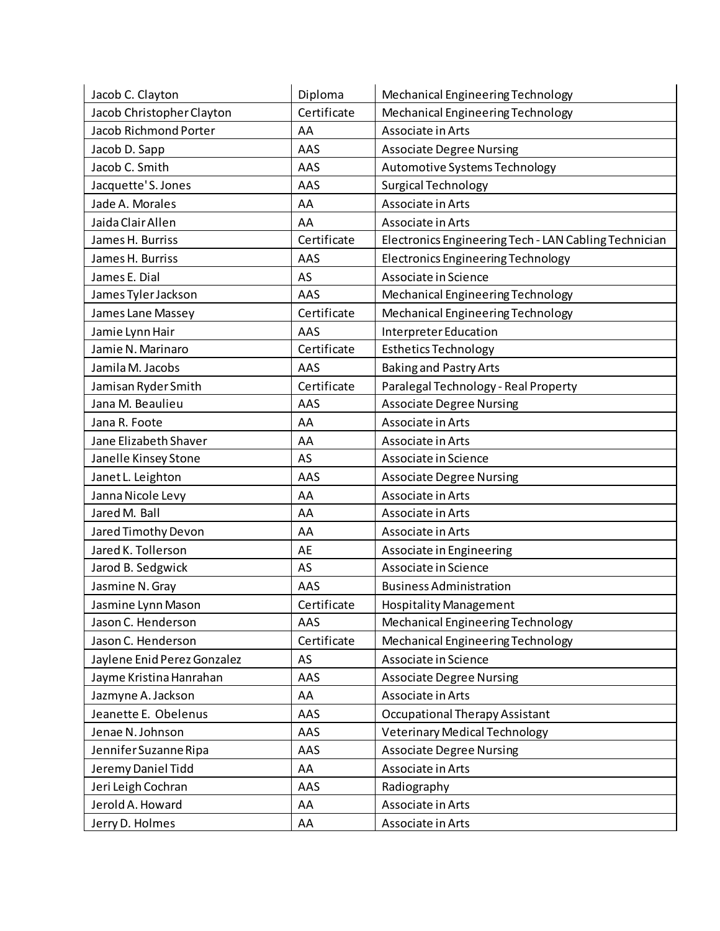| Jacob C. Clayton            | Diploma     | Mechanical Engineering Technology                     |
|-----------------------------|-------------|-------------------------------------------------------|
| Jacob Christopher Clayton   | Certificate | Mechanical Engineering Technology                     |
| Jacob Richmond Porter       | AA          | Associate in Arts                                     |
| Jacob D. Sapp               | AAS         | <b>Associate Degree Nursing</b>                       |
| Jacob C. Smith              | AAS         | Automotive Systems Technology                         |
| Jacquette'S. Jones          | AAS         | <b>Surgical Technology</b>                            |
| Jade A. Morales             | AA          | Associate in Arts                                     |
| Jaida Clair Allen           | AA          | Associate in Arts                                     |
| James H. Burriss            | Certificate | Electronics Engineering Tech - LAN Cabling Technician |
| James H. Burriss            | AAS         | <b>Electronics Engineering Technology</b>             |
| James E. Dial               | AS          | Associate in Science                                  |
| James Tyler Jackson         | AAS         | Mechanical Engineering Technology                     |
| James Lane Massey           | Certificate | Mechanical Engineering Technology                     |
| Jamie Lynn Hair             | AAS         | Interpreter Education                                 |
| Jamie N. Marinaro           | Certificate | <b>Esthetics Technology</b>                           |
| Jamila M. Jacobs            | AAS         | <b>Baking and Pastry Arts</b>                         |
| Jamisan Ryder Smith         | Certificate | Paralegal Technology - Real Property                  |
| Jana M. Beaulieu            | AAS         | <b>Associate Degree Nursing</b>                       |
| Jana R. Foote               | AA          | Associate in Arts                                     |
| Jane Elizabeth Shaver       | AA          | Associate in Arts                                     |
| Janelle Kinsey Stone        | AS          | Associate in Science                                  |
| Janet L. Leighton           | AAS         | <b>Associate Degree Nursing</b>                       |
| Janna Nicole Levy           | AA          | Associate in Arts                                     |
| Jared M. Ball               | AA          | Associate in Arts                                     |
| Jared Timothy Devon         | AA          | Associate in Arts                                     |
| Jared K. Tollerson          | AE          | Associate in Engineering                              |
| Jarod B. Sedgwick           | AS          | Associate in Science                                  |
| Jasmine N. Gray             | AAS         | <b>Business Administration</b>                        |
| Jasmine Lynn Mason          | Certificate | <b>Hospitality Management</b>                         |
| Jason C. Henderson          | AAS         | Mechanical Engineering Technology                     |
| Jason C. Henderson          | Certificate | Mechanical Engineering Technology                     |
| Jaylene Enid Perez Gonzalez | AS          | Associate in Science                                  |
| Jayme Kristina Hanrahan     | AAS         | <b>Associate Degree Nursing</b>                       |
| Jazmyne A. Jackson          | AA          | Associate in Arts                                     |
| Jeanette E. Obelenus        | AAS         | <b>Occupational Therapy Assistant</b>                 |
| Jenae N. Johnson            | AAS         | <b>Veterinary Medical Technology</b>                  |
| Jennifer Suzanne Ripa       | AAS         | <b>Associate Degree Nursing</b>                       |
| Jeremy Daniel Tidd          | AA          | Associate in Arts                                     |
| Jeri Leigh Cochran          | AAS         | Radiography                                           |
| Jerold A. Howard            | AA          | Associate in Arts                                     |
| Jerry D. Holmes             | AA          | Associate in Arts                                     |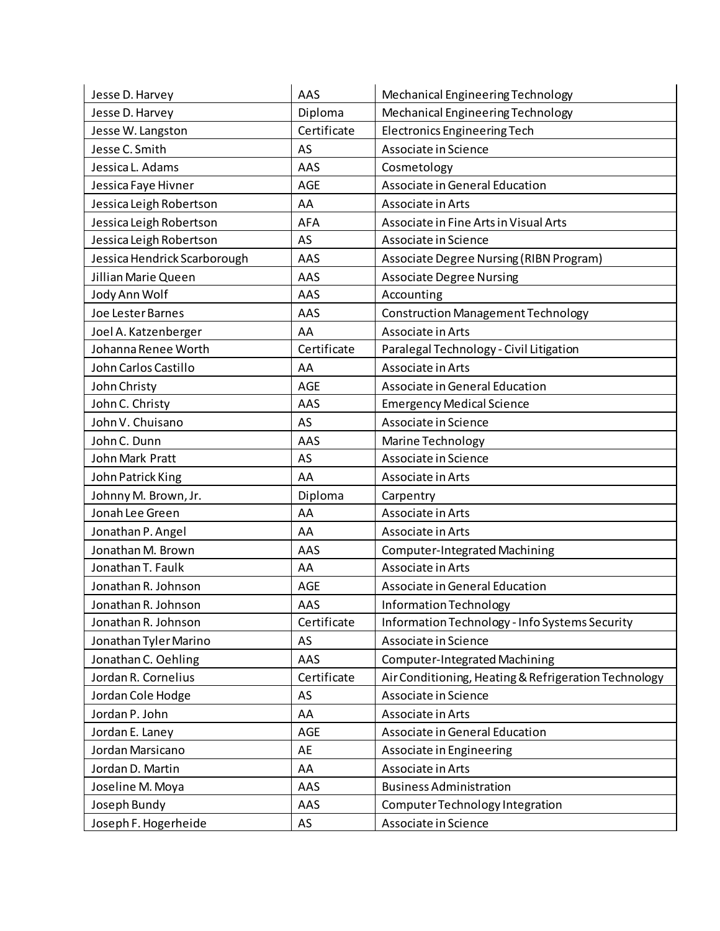| Jesse D. Harvey              | AAS         | Mechanical Engineering Technology                    |
|------------------------------|-------------|------------------------------------------------------|
| Jesse D. Harvey              | Diploma     | Mechanical Engineering Technology                    |
| Jesse W. Langston            | Certificate | <b>Electronics Engineering Tech</b>                  |
| Jesse C. Smith               | AS          | Associate in Science                                 |
| Jessica L. Adams             | AAS         | Cosmetology                                          |
| Jessica Faye Hivner          | <b>AGE</b>  | Associate in General Education                       |
| Jessica Leigh Robertson      | AA          | Associate in Arts                                    |
| Jessica Leigh Robertson      | <b>AFA</b>  | Associate in Fine Arts in Visual Arts                |
| Jessica Leigh Robertson      | AS          | Associate in Science                                 |
| Jessica Hendrick Scarborough | AAS         | Associate Degree Nursing (RIBN Program)              |
| Jillian Marie Queen          | AAS         | <b>Associate Degree Nursing</b>                      |
| Jody Ann Wolf                | AAS         | Accounting                                           |
| Joe Lester Barnes            | AAS         | <b>Construction Management Technology</b>            |
| Joel A. Katzenberger         | AA          | Associate in Arts                                    |
| Johanna Renee Worth          | Certificate | Paralegal Technology - Civil Litigation              |
| John Carlos Castillo         | AA          | Associate in Arts                                    |
| John Christy                 | <b>AGE</b>  | Associate in General Education                       |
| John C. Christy              | AAS         | <b>Emergency Medical Science</b>                     |
| John V. Chuisano             | AS          | Associate in Science                                 |
| John C. Dunn                 | AAS         | Marine Technology                                    |
| John Mark Pratt              | AS          | Associate in Science                                 |
| John Patrick King            | AA          | Associate in Arts                                    |
| Johnny M. Brown, Jr.         | Diploma     | Carpentry                                            |
| Jonah Lee Green              | AA          | Associate in Arts                                    |
| Jonathan P. Angel            | AA          | Associate in Arts                                    |
| Jonathan M. Brown            | AAS         | Computer-Integrated Machining                        |
| Jonathan T. Faulk            | AA          | Associate in Arts                                    |
| Jonathan R. Johnson          | <b>AGE</b>  | Associate in General Education                       |
| Jonathan R. Johnson          | AAS         | <b>Information Technology</b>                        |
| Jonathan R. Johnson          | Certificate | Information Technology - Info Systems Security       |
| Jonathan Tyler Marino        | AS          | Associate in Science                                 |
| Jonathan C. Oehling          | AAS         | Computer-Integrated Machining                        |
| Jordan R. Cornelius          | Certificate | Air Conditioning, Heating & Refrigeration Technology |
| Jordan Cole Hodge            | AS          | Associate in Science                                 |
| Jordan P. John               | AA          | Associate in Arts                                    |
| Jordan E. Laney              | AGE         | Associate in General Education                       |
| Jordan Marsicano             | AE          | Associate in Engineering                             |
| Jordan D. Martin             | AA          | Associate in Arts                                    |
| Joseline M. Moya             | AAS         | <b>Business Administration</b>                       |
| Joseph Bundy                 | AAS         | Computer Technology Integration                      |
| Joseph F. Hogerheide         | AS          | Associate in Science                                 |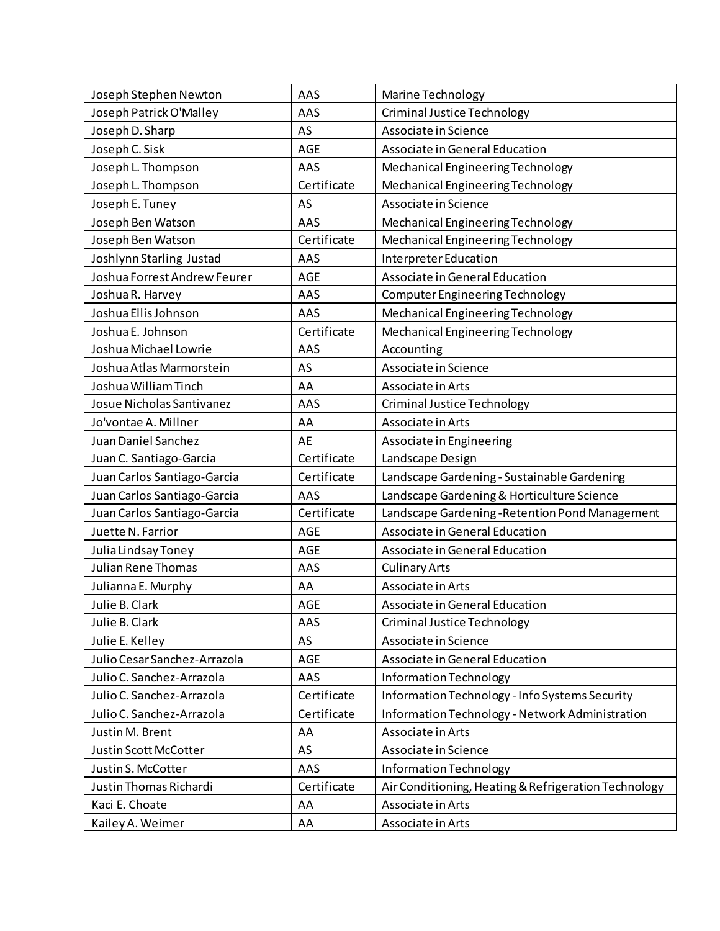| Joseph Stephen Newton        | AAS         | Marine Technology                                    |
|------------------------------|-------------|------------------------------------------------------|
| Joseph Patrick O'Malley      | AAS         | <b>Criminal Justice Technology</b>                   |
| Joseph D. Sharp              | AS          | Associate in Science                                 |
| Joseph C. Sisk               | <b>AGE</b>  | Associate in General Education                       |
| Joseph L. Thompson           | AAS         | Mechanical Engineering Technology                    |
| Joseph L. Thompson           | Certificate | Mechanical Engineering Technology                    |
| Joseph E. Tuney              | AS          | Associate in Science                                 |
| Joseph Ben Watson            | AAS         | Mechanical Engineering Technology                    |
| Joseph Ben Watson            | Certificate | Mechanical Engineering Technology                    |
| Joshlynn Starling Justad     | AAS         | Interpreter Education                                |
| Joshua Forrest Andrew Feurer | <b>AGE</b>  | Associate in General Education                       |
| Joshua R. Harvey             | AAS         | Computer Engineering Technology                      |
| Joshua Ellis Johnson         | AAS         | Mechanical Engineering Technology                    |
| Joshua E. Johnson            | Certificate | Mechanical Engineering Technology                    |
| Joshua Michael Lowrie        | AAS         | Accounting                                           |
| Joshua Atlas Marmorstein     | AS          | Associate in Science                                 |
| Joshua William Tinch         | AA          | Associate in Arts                                    |
| Josue Nicholas Santivanez    | AAS         | <b>Criminal Justice Technology</b>                   |
| Jo'vontae A. Millner         | AA          | Associate in Arts                                    |
| Juan Daniel Sanchez          | AE          | Associate in Engineering                             |
| Juan C. Santiago-Garcia      | Certificate | Landscape Design                                     |
| Juan Carlos Santiago-Garcia  | Certificate | Landscape Gardening - Sustainable Gardening          |
| Juan Carlos Santiago-Garcia  | AAS         | Landscape Gardening & Horticulture Science           |
| Juan Carlos Santiago-Garcia  | Certificate | Landscape Gardening-Retention Pond Management        |
| Juette N. Farrior            | <b>AGE</b>  | Associate in General Education                       |
| Julia Lindsay Toney          | <b>AGE</b>  | Associate in General Education                       |
| <b>Julian Rene Thomas</b>    | AAS         | <b>Culinary Arts</b>                                 |
| Julianna E. Murphy           | AA          | Associate in Arts                                    |
| Julie B. Clark               | <b>AGE</b>  | Associate in General Education                       |
| Julie B. Clark               | AAS         | Criminal Justice Technology                          |
| Julie E. Kelley              | AS          | Associate in Science                                 |
| Julio Cesar Sanchez-Arrazola | AGE         | Associate in General Education                       |
| Julio C. Sanchez-Arrazola    | AAS         | Information Technology                               |
| Julio C. Sanchez-Arrazola    | Certificate | Information Technology - Info Systems Security       |
| Julio C. Sanchez-Arrazola    | Certificate | Information Technology - Network Administration      |
| Justin M. Brent              | AA          | Associate in Arts                                    |
| Justin Scott McCotter        | AS          | Associate in Science                                 |
| Justin S. McCotter           | AAS         | Information Technology                               |
| Justin Thomas Richardi       | Certificate | Air Conditioning, Heating & Refrigeration Technology |
| Kaci E. Choate               | AA          | Associate in Arts                                    |
| Kailey A. Weimer             | AA          | Associate in Arts                                    |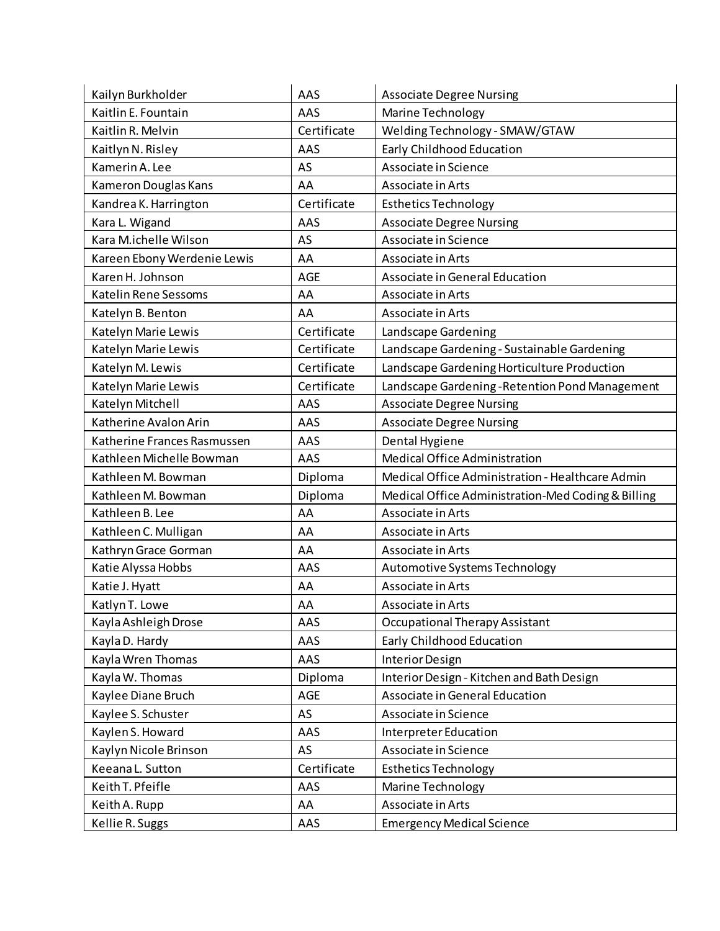| Kailyn Burkholder           | AAS         | <b>Associate Degree Nursing</b>                    |
|-----------------------------|-------------|----------------------------------------------------|
| Kaitlin E. Fountain         | AAS         | Marine Technology                                  |
| Kaitlin R. Melvin           | Certificate | Welding Technology - SMAW/GTAW                     |
| Kaitlyn N. Risley           | AAS         | Early Childhood Education                          |
| Kamerin A. Lee              | AS          | Associate in Science                               |
| Kameron Douglas Kans        | AA          | Associate in Arts                                  |
| Kandrea K. Harrington       | Certificate | <b>Esthetics Technology</b>                        |
| Kara L. Wigand              | AAS         | <b>Associate Degree Nursing</b>                    |
| Kara M.ichelle Wilson       | AS          | Associate in Science                               |
| Kareen Ebony Werdenie Lewis | AA          | Associate in Arts                                  |
| Karen H. Johnson            | <b>AGE</b>  | Associate in General Education                     |
| Katelin Rene Sessoms        | AA          | Associate in Arts                                  |
| Katelyn B. Benton           | AA          | Associate in Arts                                  |
| Katelyn Marie Lewis         | Certificate | Landscape Gardening                                |
| Katelyn Marie Lewis         | Certificate | Landscape Gardening - Sustainable Gardening        |
| Katelyn M. Lewis            | Certificate | Landscape Gardening Horticulture Production        |
| Katelyn Marie Lewis         | Certificate | Landscape Gardening - Retention Pond Management    |
| Katelyn Mitchell            | AAS         | <b>Associate Degree Nursing</b>                    |
| Katherine Avalon Arin       | AAS         | <b>Associate Degree Nursing</b>                    |
| Katherine Frances Rasmussen | AAS         | Dental Hygiene                                     |
| Kathleen Michelle Bowman    | AAS         | Medical Office Administration                      |
| Kathleen M. Bowman          | Diploma     | Medical Office Administration - Healthcare Admin   |
| Kathleen M. Bowman          | Diploma     | Medical Office Administration-Med Coding & Billing |
| Kathleen B. Lee             | AA          | Associate in Arts                                  |
| Kathleen C. Mulligan        | AA          | Associate in Arts                                  |
| Kathryn Grace Gorman        | AA          | Associate in Arts                                  |
| Katie Alyssa Hobbs          | AAS         | Automotive Systems Technology                      |
| Katie J. Hyatt              | AA          | Associate in Arts                                  |
| Katlyn T. Lowe              | AA          | Associate in Arts                                  |
| Kayla Ashleigh Drose        | AAS         | <b>Occupational Therapy Assistant</b>              |
| Kayla D. Hardy              | AAS         | Early Childhood Education                          |
| Kayla Wren Thomas           | AAS         | <b>Interior Design</b>                             |
| Kayla W. Thomas             | Diploma     | Interior Design - Kitchen and Bath Design          |
| Kaylee Diane Bruch          | AGE         | Associate in General Education                     |
| Kaylee S. Schuster          | AS          | Associate in Science                               |
| Kaylen S. Howard            | AAS         | Interpreter Education                              |
| Kaylyn Nicole Brinson       | AS          | Associate in Science                               |
| Keeana L. Sutton            | Certificate | <b>Esthetics Technology</b>                        |
| Keith T. Pfeifle            | AAS         | Marine Technology                                  |
| Keith A. Rupp               | AA          | Associate in Arts                                  |
| Kellie R. Suggs             | AAS         | <b>Emergency Medical Science</b>                   |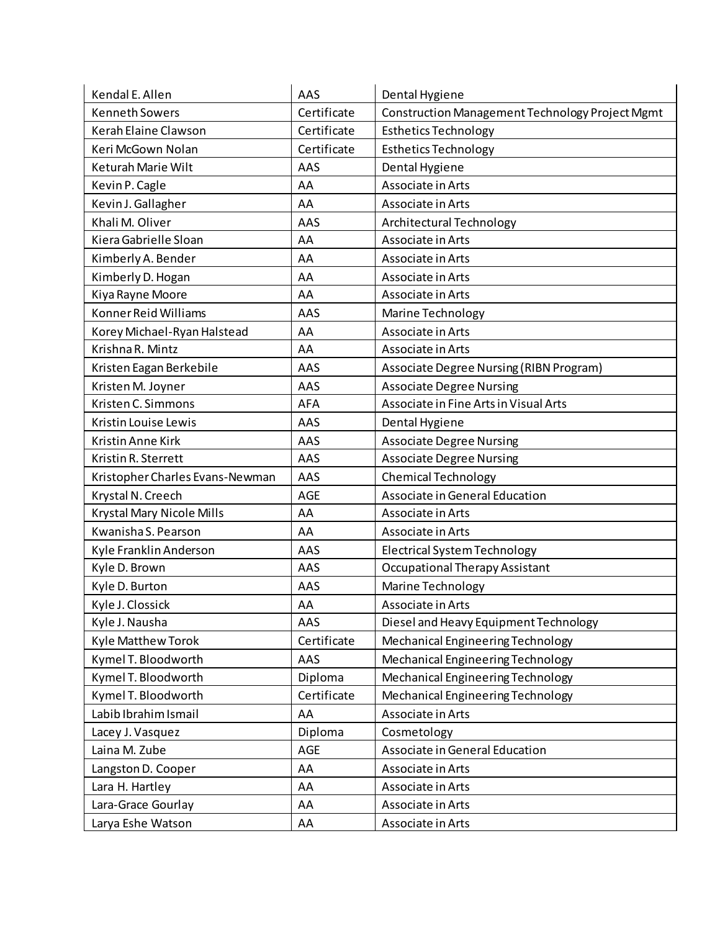| Kendal E. Allen                 | AAS         | Dental Hygiene                                  |
|---------------------------------|-------------|-------------------------------------------------|
| <b>Kenneth Sowers</b>           | Certificate | Construction Management Technology Project Mgmt |
| Kerah Elaine Clawson            | Certificate | <b>Esthetics Technology</b>                     |
| Keri McGown Nolan               | Certificate | <b>Esthetics Technology</b>                     |
| Keturah Marie Wilt              | AAS         | Dental Hygiene                                  |
| Kevin P. Cagle                  | AA          | Associate in Arts                               |
| Kevin J. Gallagher              | AA          | Associate in Arts                               |
| Khali M. Oliver                 | AAS         | Architectural Technology                        |
| Kiera Gabrielle Sloan           | AA          | Associate in Arts                               |
| Kimberly A. Bender              | AA          | Associate in Arts                               |
| Kimberly D. Hogan               | AA          | Associate in Arts                               |
| Kiya Rayne Moore                | AA          | Associate in Arts                               |
| Konner Reid Williams            | AAS         | Marine Technology                               |
| Korey Michael-Ryan Halstead     | AA          | Associate in Arts                               |
| Krishna R. Mintz                | AA          | Associate in Arts                               |
| Kristen Eagan Berkebile         | AAS         | Associate Degree Nursing (RIBN Program)         |
| Kristen M. Joyner               | AAS         | <b>Associate Degree Nursing</b>                 |
| Kristen C. Simmons              | <b>AFA</b>  | Associate in Fine Arts in Visual Arts           |
| Kristin Louise Lewis            | AAS         | Dental Hygiene                                  |
| Kristin Anne Kirk               | AAS         | <b>Associate Degree Nursing</b>                 |
| Kristin R. Sterrett             | AAS         | <b>Associate Degree Nursing</b>                 |
| Kristopher Charles Evans-Newman | AAS         | <b>Chemical Technology</b>                      |
| Krystal N. Creech               | <b>AGE</b>  | Associate in General Education                  |
| Krystal Mary Nicole Mills       | AA          | Associate in Arts                               |
| Kwanisha S. Pearson             | AA          | Associate in Arts                               |
| Kyle Franklin Anderson          | AAS         | <b>Electrical System Technology</b>             |
| Kyle D. Brown                   | AAS         | <b>Occupational Therapy Assistant</b>           |
| Kyle D. Burton                  | AAS         | Marine Technology                               |
| Kyle J. Clossick                | AA          | Associate in Arts                               |
| Kyle J. Nausha                  | AAS         | Diesel and Heavy Equipment Technology           |
| Kyle Matthew Torok              | Certificate | Mechanical Engineering Technology               |
| Kymel T. Bloodworth             | AAS         | Mechanical Engineering Technology               |
| Kymel T. Bloodworth             | Diploma     | Mechanical Engineering Technology               |
| Kymel T. Bloodworth             | Certificate | Mechanical Engineering Technology               |
| Labib Ibrahim Ismail            | AA          | Associate in Arts                               |
| Lacey J. Vasquez                | Diploma     | Cosmetology                                     |
| Laina M. Zube                   | AGE         | Associate in General Education                  |
| Langston D. Cooper              | AA          | Associate in Arts                               |
| Lara H. Hartley                 | AA          | Associate in Arts                               |
| Lara-Grace Gourlay              | AA          | Associate in Arts                               |
| Larya Eshe Watson               | AA          | Associate in Arts                               |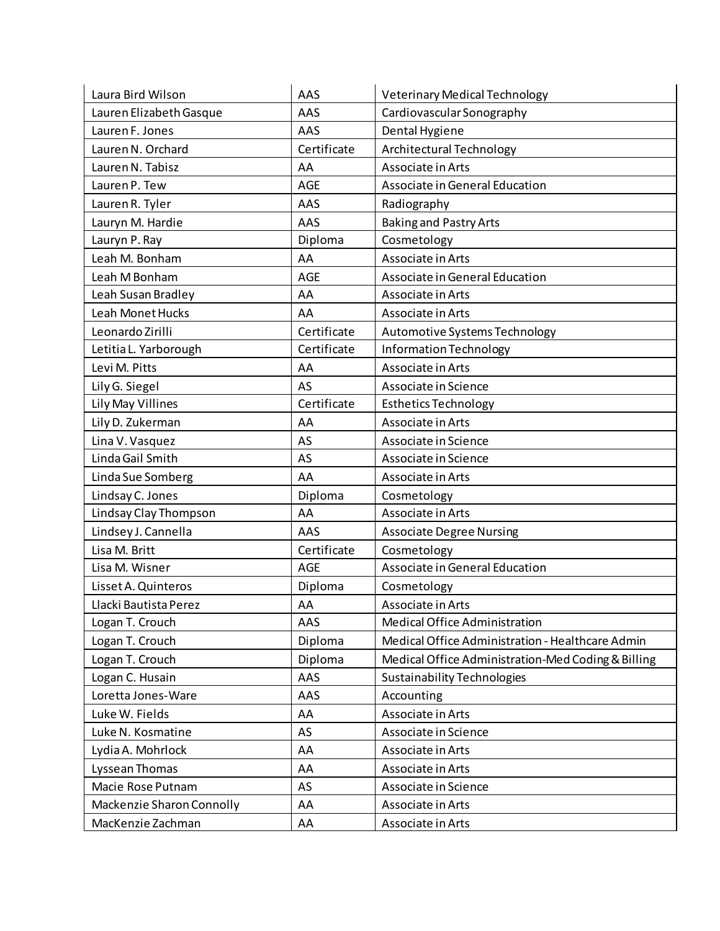| Laura Bird Wilson         | AAS         | <b>Veterinary Medical Technology</b>               |
|---------------------------|-------------|----------------------------------------------------|
| Lauren Elizabeth Gasque   | AAS         | Cardiovascular Sonography                          |
| Lauren F. Jones           | AAS         | Dental Hygiene                                     |
| Lauren N. Orchard         | Certificate | Architectural Technology                           |
| Lauren N. Tabisz          | AA          | Associate in Arts                                  |
| Lauren P. Tew             | <b>AGE</b>  | Associate in General Education                     |
| Lauren R. Tyler           | AAS         | Radiography                                        |
| Lauryn M. Hardie          | AAS         | <b>Baking and Pastry Arts</b>                      |
| Lauryn P. Ray             | Diploma     | Cosmetology                                        |
| Leah M. Bonham            | AA          | Associate in Arts                                  |
| Leah M Bonham             | <b>AGE</b>  | Associate in General Education                     |
| Leah Susan Bradley        | AA          | Associate in Arts                                  |
| Leah Monet Hucks          | AA          | Associate in Arts                                  |
| Leonardo Zirilli          | Certificate | Automotive Systems Technology                      |
| Letitia L. Yarborough     | Certificate | <b>Information Technology</b>                      |
| Levi M. Pitts             | AA          | Associate in Arts                                  |
| Lily G. Siegel            | AS          | Associate in Science                               |
| Lily May Villines         | Certificate | <b>Esthetics Technology</b>                        |
| Lily D. Zukerman          | AA          | Associate in Arts                                  |
| Lina V. Vasquez           | AS          | Associate in Science                               |
| Linda Gail Smith          | AS          | Associate in Science                               |
| Linda Sue Somberg         | AA          | Associate in Arts                                  |
| Lindsay C. Jones          | Diploma     | Cosmetology                                        |
| Lindsay Clay Thompson     | AA          | Associate in Arts                                  |
| Lindsey J. Cannella       | AAS         | <b>Associate Degree Nursing</b>                    |
| Lisa M. Britt             | Certificate | Cosmetology                                        |
| Lisa M. Wisner            | <b>AGE</b>  | Associate in General Education                     |
| Lisset A. Quinteros       | Diploma     | Cosmetology                                        |
| Llacki Bautista Perez     | AA          | Associate in Arts                                  |
| Logan T. Crouch           | AAS         | Medical Office Administration                      |
| Logan T. Crouch           | Diploma     | Medical Office Administration - Healthcare Admin   |
| Logan T. Crouch           | Diploma     | Medical Office Administration-Med Coding & Billing |
| Logan C. Husain           | AAS         | <b>Sustainability Technologies</b>                 |
| Loretta Jones-Ware        | AAS         | Accounting                                         |
| Luke W. Fields            | AA          | Associate in Arts                                  |
| Luke N. Kosmatine         | AS          | Associate in Science                               |
| Lydia A. Mohrlock         | AA          | Associate in Arts                                  |
| Lyssean Thomas            | AA          | Associate in Arts                                  |
| Macie Rose Putnam         | AS          | Associate in Science                               |
| Mackenzie Sharon Connolly | AA          | Associate in Arts                                  |
| MacKenzie Zachman         | AA          | Associate in Arts                                  |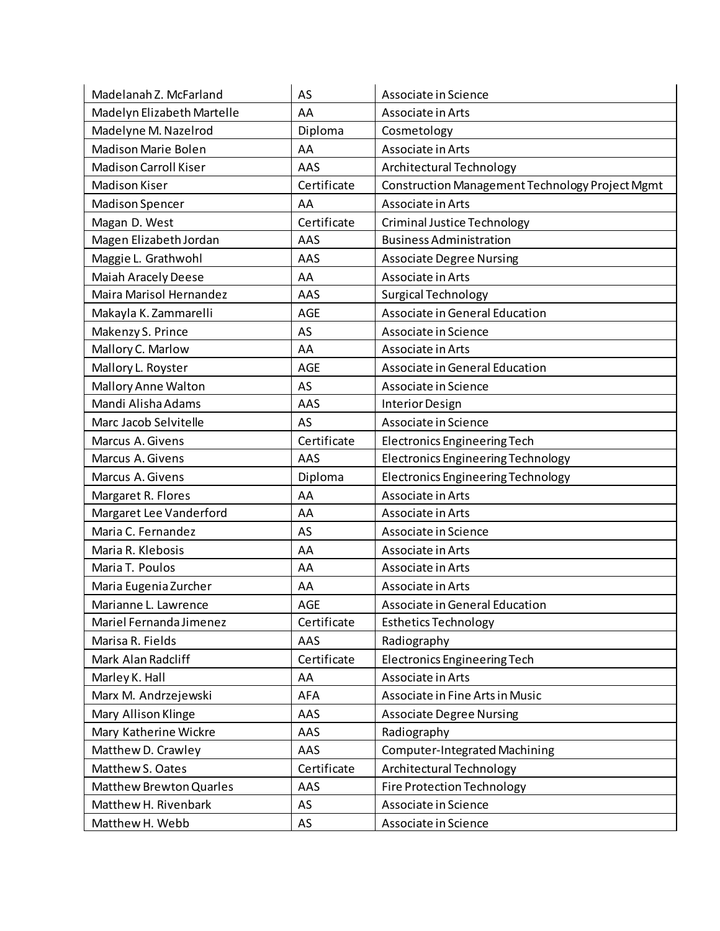| Madelanah Z. McFarland         | AS          | Associate in Science                            |
|--------------------------------|-------------|-------------------------------------------------|
| Madelyn Elizabeth Martelle     | AA          | Associate in Arts                               |
| Madelyne M. Nazelrod           | Diploma     | Cosmetology                                     |
| <b>Madison Marie Bolen</b>     | AA          | Associate in Arts                               |
| <b>Madison Carroll Kiser</b>   | AAS         | Architectural Technology                        |
| <b>Madison Kiser</b>           | Certificate | Construction Management Technology Project Mgmt |
| <b>Madison Spencer</b>         | AA          | Associate in Arts                               |
| Magan D. West                  | Certificate | <b>Criminal Justice Technology</b>              |
| Magen Elizabeth Jordan         | AAS         | <b>Business Administration</b>                  |
| Maggie L. Grathwohl            | AAS         | <b>Associate Degree Nursing</b>                 |
| <b>Maiah Aracely Deese</b>     | AA          | Associate in Arts                               |
| Maira Marisol Hernandez        | AAS         | Surgical Technology                             |
| Makayla K. Zammarelli          | <b>AGE</b>  | Associate in General Education                  |
| Makenzy S. Prince              | AS          | Associate in Science                            |
| Mallory C. Marlow              | AA          | Associate in Arts                               |
| Mallory L. Royster             | <b>AGE</b>  | Associate in General Education                  |
| <b>Mallory Anne Walton</b>     | AS          | Associate in Science                            |
| Mandi Alisha Adams             | AAS         | Interior Design                                 |
| Marc Jacob Selvitelle          | AS          | Associate in Science                            |
| Marcus A. Givens               | Certificate | <b>Electronics Engineering Tech</b>             |
| Marcus A. Givens               | AAS         | <b>Electronics Engineering Technology</b>       |
| Marcus A. Givens               | Diploma     | <b>Electronics Engineering Technology</b>       |
| Margaret R. Flores             | AA          | Associate in Arts                               |
| Margaret Lee Vanderford        | AA          | Associate in Arts                               |
| Maria C. Fernandez             | AS          | Associate in Science                            |
| Maria R. Klebosis              | AA          | Associate in Arts                               |
| Maria T. Poulos                | AA          | Associate in Arts                               |
| Maria Eugenia Zurcher          | AA          | Associate in Arts                               |
| Marianne L. Lawrence           | <b>AGE</b>  | Associate in General Education                  |
| Mariel Fernanda Jimenez        | Certificate | <b>Esthetics Technology</b>                     |
| Marisa R. Fields               | AAS         | Radiography                                     |
| Mark Alan Radcliff             | Certificate | <b>Electronics Engineering Tech</b>             |
| Marley K. Hall                 | AA          | Associate in Arts                               |
| Marx M. Andrzejewski           | <b>AFA</b>  | Associate in Fine Arts in Music                 |
| Mary Allison Klinge            | AAS         | <b>Associate Degree Nursing</b>                 |
| Mary Katherine Wickre          | AAS         | Radiography                                     |
| Matthew D. Crawley             | AAS         | Computer-Integrated Machining                   |
| Matthew S. Oates               | Certificate | Architectural Technology                        |
| <b>Matthew Brewton Quarles</b> | AAS         | Fire Protection Technology                      |
| Matthew H. Rivenbark           | AS          | Associate in Science                            |
| Matthew H. Webb                | AS          | Associate in Science                            |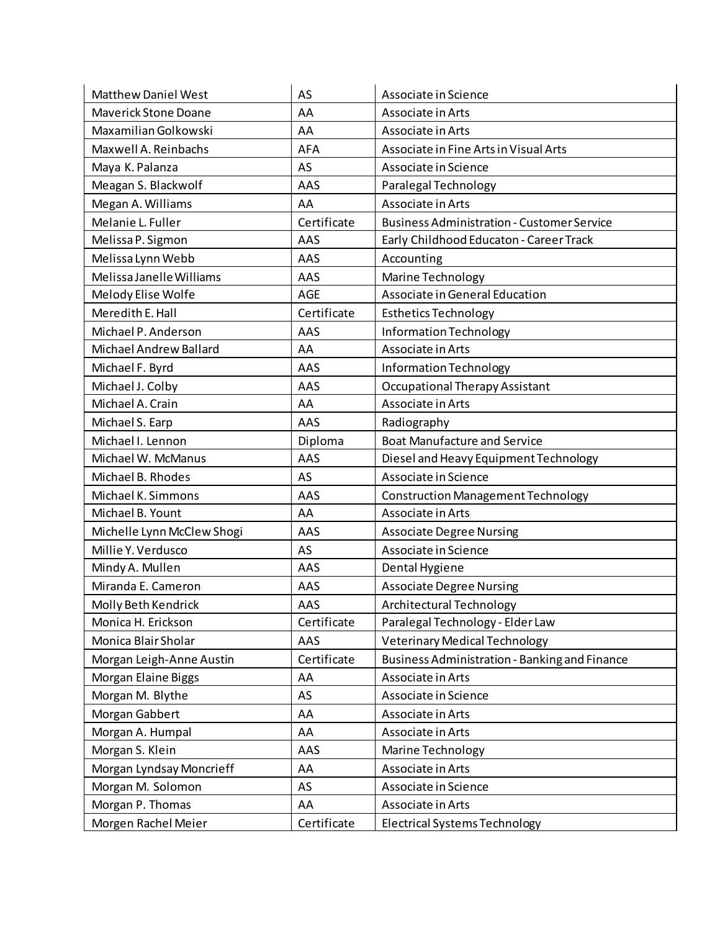| <b>Matthew Daniel West</b>  | AS          | Associate in Science                              |
|-----------------------------|-------------|---------------------------------------------------|
| <b>Maverick Stone Doane</b> | AA          | Associate in Arts                                 |
| Maxamilian Golkowski        | AA          | Associate in Arts                                 |
| Maxwell A. Reinbachs        | <b>AFA</b>  | Associate in Fine Arts in Visual Arts             |
| Maya K. Palanza             | AS          | Associate in Science                              |
| Meagan S. Blackwolf         | AAS         | Paralegal Technology                              |
| Megan A. Williams           | AA          | Associate in Arts                                 |
| Melanie L. Fuller           | Certificate | <b>Business Administration - Customer Service</b> |
| Melissa P. Sigmon           | AAS         | Early Childhood Educaton - Career Track           |
| Melissa Lynn Webb           | AAS         | Accounting                                        |
| Melissa Janelle Williams    | AAS         | Marine Technology                                 |
| Melody Elise Wolfe          | <b>AGE</b>  | Associate in General Education                    |
| Meredith E. Hall            | Certificate | <b>Esthetics Technology</b>                       |
| Michael P. Anderson         | AAS         | Information Technology                            |
| Michael Andrew Ballard      | AA          | Associate in Arts                                 |
| Michael F. Byrd             | AAS         | Information Technology                            |
| Michael J. Colby            | AAS         | <b>Occupational Therapy Assistant</b>             |
| Michael A. Crain            | AA          | Associate in Arts                                 |
| Michael S. Earp             | AAS         | Radiography                                       |
| Michael I. Lennon           | Diploma     | <b>Boat Manufacture and Service</b>               |
| Michael W. McManus          | AAS         | Diesel and Heavy Equipment Technology             |
| Michael B. Rhodes           | AS          | Associate in Science                              |
| Michael K. Simmons          | AAS         | <b>Construction Management Technology</b>         |
| Michael B. Yount            | AA          | Associate in Arts                                 |
| Michelle Lynn McClew Shogi  | AAS         | <b>Associate Degree Nursing</b>                   |
| Millie Y. Verdusco          | AS          | Associate in Science                              |
| Mindy A. Mullen             | AAS         | Dental Hygiene                                    |
| Miranda E. Cameron          | AAS         | <b>Associate Degree Nursing</b>                   |
| Molly Beth Kendrick         | AAS         | Architectural Technology                          |
| Monica H. Erickson          | Certificate | Paralegal Technology - Elder Law                  |
| Monica Blair Sholar         | AAS         | <b>Veterinary Medical Technology</b>              |
| Morgan Leigh-Anne Austin    | Certificate | Business Administration - Banking and Finance     |
| <b>Morgan Elaine Biggs</b>  | AA          | Associate in Arts                                 |
| Morgan M. Blythe            | AS          | Associate in Science                              |
| Morgan Gabbert              | AA          | Associate in Arts                                 |
| Morgan A. Humpal            | AA          | Associate in Arts                                 |
| Morgan S. Klein             | AAS         | Marine Technology                                 |
| Morgan Lyndsay Moncrieff    | AA          | Associate in Arts                                 |
| Morgan M. Solomon           | AS          | Associate in Science                              |
| Morgan P. Thomas            | AA          | Associate in Arts                                 |
| Morgen Rachel Meier         | Certificate | <b>Electrical Systems Technology</b>              |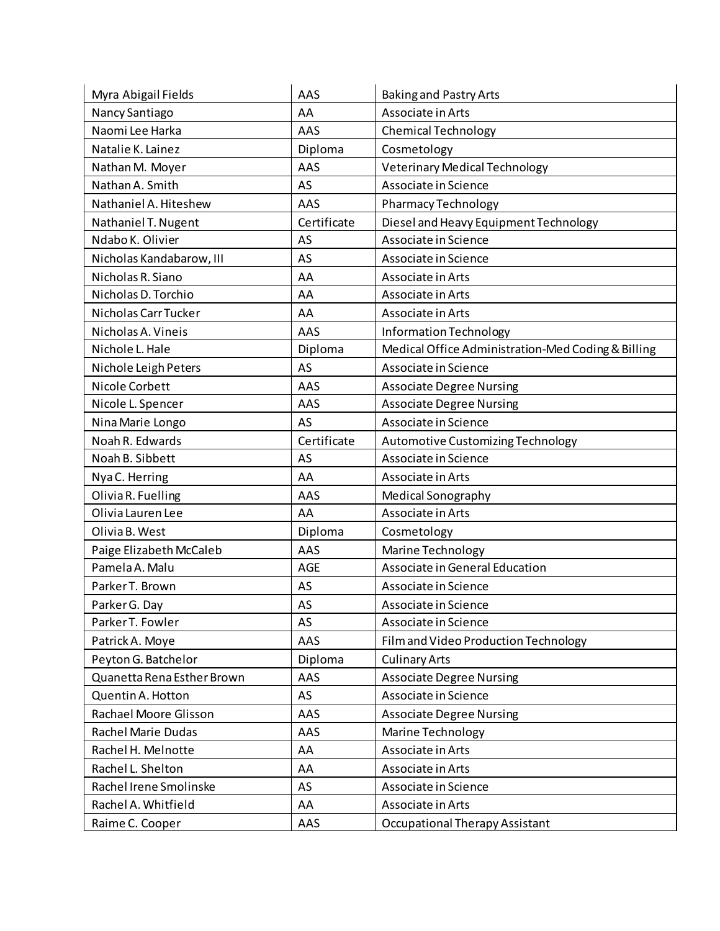| Myra Abigail Fields        | AAS         | <b>Baking and Pastry Arts</b>                      |
|----------------------------|-------------|----------------------------------------------------|
| Nancy Santiago             | AA          | Associate in Arts                                  |
| Naomi Lee Harka            | AAS         | <b>Chemical Technology</b>                         |
| Natalie K. Lainez          | Diploma     | Cosmetology                                        |
| Nathan M. Moyer            | AAS         | <b>Veterinary Medical Technology</b>               |
| Nathan A. Smith            | AS          | Associate in Science                               |
| Nathaniel A. Hiteshew      | AAS         | Pharmacy Technology                                |
| Nathaniel T. Nugent        | Certificate | Diesel and Heavy Equipment Technology              |
| Ndabo K. Olivier           | AS          | Associate in Science                               |
| Nicholas Kandabarow, III   | AS          | Associate in Science                               |
| Nicholas R. Siano          | AA          | Associate in Arts                                  |
| Nicholas D. Torchio        | AA          | Associate in Arts                                  |
| Nicholas Carr Tucker       | AA          | Associate in Arts                                  |
| Nicholas A. Vineis         | AAS         | Information Technology                             |
| Nichole L. Hale            | Diploma     | Medical Office Administration-Med Coding & Billing |
| Nichole Leigh Peters       | AS          | Associate in Science                               |
| Nicole Corbett             | AAS         | <b>Associate Degree Nursing</b>                    |
| Nicole L. Spencer          | AAS         | <b>Associate Degree Nursing</b>                    |
| Nina Marie Longo           | AS          | Associate in Science                               |
| Noah R. Edwards            | Certificate | Automotive Customizing Technology                  |
| Noah B. Sibbett            | AS          | Associate in Science                               |
| Nya C. Herring             | AA          | Associate in Arts                                  |
| Olivia R. Fuelling         | AAS         | <b>Medical Sonography</b>                          |
| Olivia Lauren Lee          | AA          | Associate in Arts                                  |
| Olivia B. West             | Diploma     | Cosmetology                                        |
| Paige Elizabeth McCaleb    | AAS         | Marine Technology                                  |
| Pamela A. Malu             | <b>AGE</b>  | Associate in General Education                     |
| Parker T. Brown            | AS          | Associate in Science                               |
| Parker G. Day              | AS          | Associate in Science                               |
| Parker T. Fowler           | AS          | Associate in Science                               |
| Patrick A. Moye            | AAS         | Film and Video Production Technology               |
| Peyton G. Batchelor        | Diploma     | <b>Culinary Arts</b>                               |
| Quanetta Rena Esther Brown | AAS         | <b>Associate Degree Nursing</b>                    |
| Quentin A. Hotton          | AS          | Associate in Science                               |
| Rachael Moore Glisson      | AAS         | <b>Associate Degree Nursing</b>                    |
| <b>Rachel Marie Dudas</b>  | AAS         | Marine Technology                                  |
| Rachel H. Melnotte         | AA          | Associate in Arts                                  |
| Rachel L. Shelton          | AA          | Associate in Arts                                  |
| Rachel Irene Smolinske     | AS          | Associate in Science                               |
| Rachel A. Whitfield        | AA          | Associate in Arts                                  |
| Raime C. Cooper            | AAS         | <b>Occupational Therapy Assistant</b>              |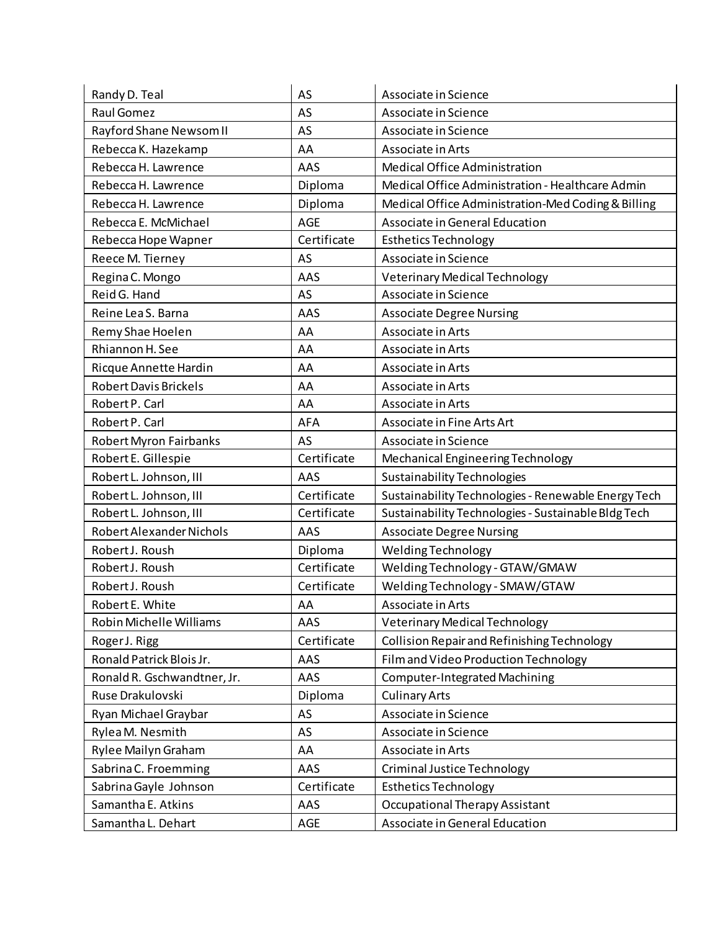| Randy D. Teal                 | AS          | Associate in Science                                |
|-------------------------------|-------------|-----------------------------------------------------|
| Raul Gomez                    | AS          | Associate in Science                                |
| Rayford Shane Newsom II       | AS          | Associate in Science                                |
| Rebecca K. Hazekamp           | AA          | Associate in Arts                                   |
| Rebecca H. Lawrence           | AAS         | <b>Medical Office Administration</b>                |
| Rebecca H. Lawrence           | Diploma     | Medical Office Administration - Healthcare Admin    |
| Rebecca H. Lawrence           | Diploma     | Medical Office Administration-Med Coding & Billing  |
| Rebecca E. McMichael          | <b>AGE</b>  | Associate in General Education                      |
| Rebecca Hope Wapner           | Certificate | <b>Esthetics Technology</b>                         |
| Reece M. Tierney              | AS          | Associate in Science                                |
| Regina C. Mongo               | AAS         | <b>Veterinary Medical Technology</b>                |
| Reid G. Hand                  | AS          | Associate in Science                                |
| Reine Lea S. Barna            | AAS         | <b>Associate Degree Nursing</b>                     |
| Remy Shae Hoelen              | AA          | Associate in Arts                                   |
| Rhiannon H. See               | AA          | Associate in Arts                                   |
| Ricque Annette Hardin         | AA          | Associate in Arts                                   |
| <b>Robert Davis Brickels</b>  | AA          | Associate in Arts                                   |
| Robert P. Carl                | AA          | Associate in Arts                                   |
| Robert P. Carl                | <b>AFA</b>  | Associate in Fine Arts Art                          |
| <b>Robert Myron Fairbanks</b> | AS          | Associate in Science                                |
| Robert E. Gillespie           | Certificate | Mechanical Engineering Technology                   |
| Robert L. Johnson, III        | AAS         | <b>Sustainability Technologies</b>                  |
| Robert L. Johnson, III        | Certificate | Sustainability Technologies - Renewable Energy Tech |
| Robert L. Johnson, III        | Certificate | Sustainability Technologies - Sustainable Bldg Tech |
| Robert Alexander Nichols      | AAS         | <b>Associate Degree Nursing</b>                     |
| Robert J. Roush               | Diploma     | Welding Technology                                  |
| Robert J. Roush               | Certificate | Welding Technology - GTAW/GMAW                      |
| Robert J. Roush               | Certificate | Welding Technology - SMAW/GTAW                      |
| Robert E. White               | AA          | Associate in Arts                                   |
| Robin Michelle Williams       | AAS         | <b>Veterinary Medical Technology</b>                |
| Roger J. Rigg                 | Certificate | Collision Repair and Refinishing Technology         |
| Ronald Patrick Blois Jr.      | AAS         | Film and Video Production Technology                |
| Ronald R. Gschwandtner, Jr.   | AAS         | Computer-Integrated Machining                       |
| Ruse Drakulovski              | Diploma     | <b>Culinary Arts</b>                                |
| Ryan Michael Graybar          | AS          | Associate in Science                                |
| Rylea M. Nesmith              | AS          | Associate in Science                                |
| Rylee Mailyn Graham           | AA          | Associate in Arts                                   |
| Sabrina C. Froemming          | AAS         | <b>Criminal Justice Technology</b>                  |
| Sabrina Gayle Johnson         | Certificate | <b>Esthetics Technology</b>                         |
| Samantha E. Atkins            | AAS         | <b>Occupational Therapy Assistant</b>               |
| Samantha L. Dehart            | AGE         | Associate in General Education                      |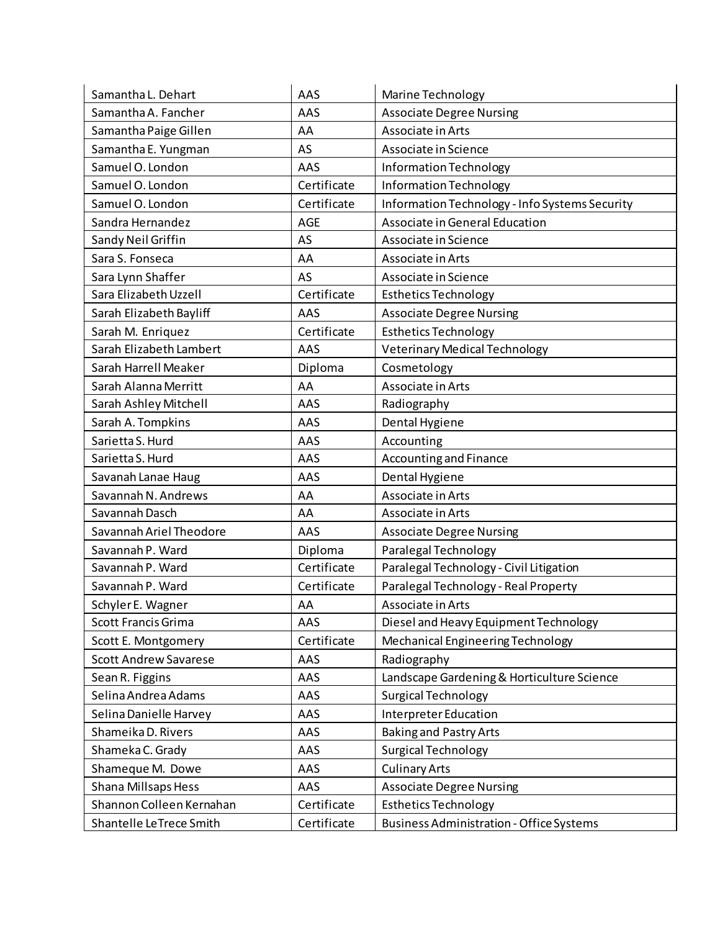| Samantha L. Dehart           | AAS         | Marine Technology                              |
|------------------------------|-------------|------------------------------------------------|
| Samantha A. Fancher          | AAS         | <b>Associate Degree Nursing</b>                |
| Samantha Paige Gillen        | AA          | Associate in Arts                              |
| Samantha E. Yungman          | AS          | Associate in Science                           |
| Samuel O. London             | AAS         | <b>Information Technology</b>                  |
| Samuel O. London             | Certificate | Information Technology                         |
| Samuel O. London             | Certificate | Information Technology - Info Systems Security |
| Sandra Hernandez             | <b>AGE</b>  | Associate in General Education                 |
| Sandy Neil Griffin           | AS          | Associate in Science                           |
| Sara S. Fonseca              | AA          | Associate in Arts                              |
| Sara Lynn Shaffer            | AS          | Associate in Science                           |
| Sara Elizabeth Uzzell        | Certificate | <b>Esthetics Technology</b>                    |
| Sarah Elizabeth Bayliff      | AAS         | <b>Associate Degree Nursing</b>                |
| Sarah M. Enriquez            | Certificate | <b>Esthetics Technology</b>                    |
| Sarah Elizabeth Lambert      | AAS         | <b>Veterinary Medical Technology</b>           |
| Sarah Harrell Meaker         | Diploma     | Cosmetology                                    |
| Sarah Alanna Merritt         | AA          | Associate in Arts                              |
| Sarah Ashley Mitchell        | AAS         | Radiography                                    |
| Sarah A. Tompkins            | AAS         | Dental Hygiene                                 |
| Sarietta S. Hurd             | AAS         | Accounting                                     |
| Sarietta S. Hurd             | AAS         | Accounting and Finance                         |
| Savanah Lanae Haug           | AAS         | Dental Hygiene                                 |
| Savannah N. Andrews          | AA          | Associate in Arts                              |
| Savannah Dasch               | AA          | Associate in Arts                              |
| Savannah Ariel Theodore      | AAS         | <b>Associate Degree Nursing</b>                |
| Savannah P. Ward             | Diploma     | Paralegal Technology                           |
| Savannah P. Ward             | Certificate | Paralegal Technology - Civil Litigation        |
| Savannah P. Ward             | Certificate | Paralegal Technology - Real Property           |
| Schyler E. Wagner            | AA          | Associate in Arts                              |
| Scott Francis Grima          | AAS         | Diesel and Heavy Equipment Technology          |
| Scott E. Montgomery          | Certificate | Mechanical Engineering Technology              |
| <b>Scott Andrew Savarese</b> | AAS         | Radiography                                    |
| Sean R. Figgins              | AAS         | Landscape Gardening & Horticulture Science     |
| Selina Andrea Adams          | AAS         | <b>Surgical Technology</b>                     |
| Selina Danielle Harvey       | AAS         | Interpreter Education                          |
| Shameika D. Rivers           | AAS         | <b>Baking and Pastry Arts</b>                  |
| Shameka C. Grady             | AAS         | <b>Surgical Technology</b>                     |
| Shameque M. Dowe             | AAS         | <b>Culinary Arts</b>                           |
| Shana Millsaps Hess          | AAS         | <b>Associate Degree Nursing</b>                |
| Shannon Colleen Kernahan     | Certificate | <b>Esthetics Technology</b>                    |
| Shantelle LeTrece Smith      | Certificate | Business Administration - Office Systems       |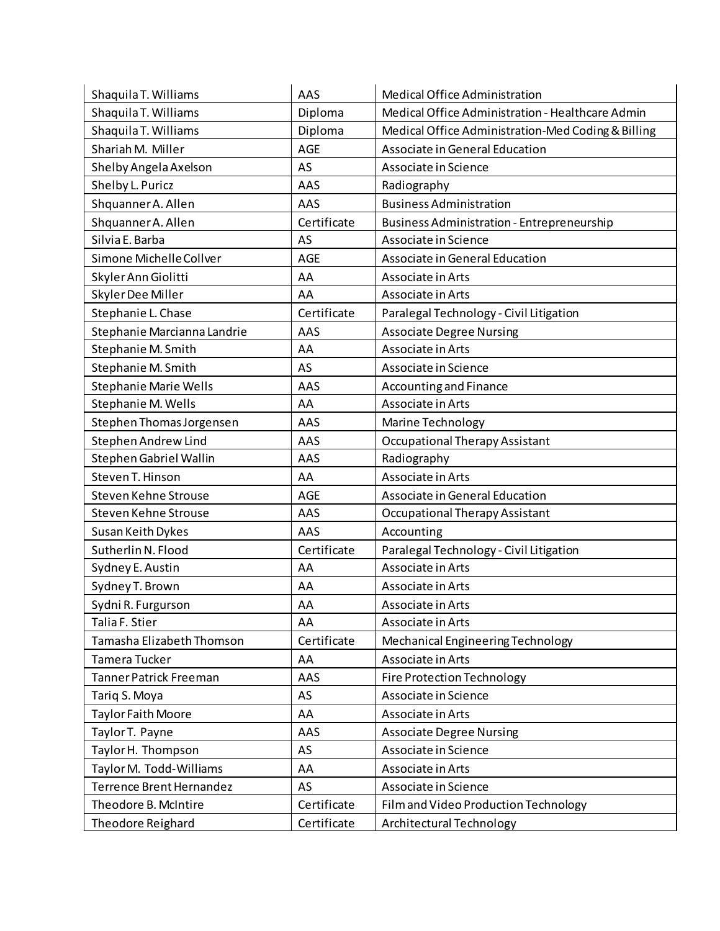| Shaquila T. Williams          | AAS         | Medical Office Administration                      |
|-------------------------------|-------------|----------------------------------------------------|
| Shaquila T. Williams          | Diploma     | Medical Office Administration - Healthcare Admin   |
| Shaquila T. Williams          | Diploma     | Medical Office Administration-Med Coding & Billing |
| Shariah M. Miller             | AGE         | Associate in General Education                     |
| Shelby Angela Axelson         | AS          | Associate in Science                               |
| Shelby L. Puricz              | AAS         | Radiography                                        |
| Shquanner A. Allen            | AAS         | <b>Business Administration</b>                     |
| Shquanner A. Allen            | Certificate | <b>Business Administration - Entrepreneurship</b>  |
| Silvia E. Barba               | AS          | Associate in Science                               |
| Simone Michelle Collver       | <b>AGE</b>  | Associate in General Education                     |
| Skyler Ann Giolitti           | AA          | Associate in Arts                                  |
| Skyler Dee Miller             | AA          | Associate in Arts                                  |
| Stephanie L. Chase            | Certificate | Paralegal Technology - Civil Litigation            |
| Stephanie Marcianna Landrie   | AAS         | <b>Associate Degree Nursing</b>                    |
| Stephanie M. Smith            | AA          | Associate in Arts                                  |
| Stephanie M. Smith            | AS          | Associate in Science                               |
| <b>Stephanie Marie Wells</b>  | AAS         | Accounting and Finance                             |
| Stephanie M. Wells            | AA          | Associate in Arts                                  |
| Stephen Thomas Jorgensen      | AAS         | Marine Technology                                  |
| Stephen Andrew Lind           | AAS         | <b>Occupational Therapy Assistant</b>              |
| Stephen Gabriel Wallin        | AAS         | Radiography                                        |
| Steven T. Hinson              | AA          | Associate in Arts                                  |
| Steven Kehne Strouse          | <b>AGE</b>  | Associate in General Education                     |
| Steven Kehne Strouse          | AAS         | <b>Occupational Therapy Assistant</b>              |
| Susan Keith Dykes             | AAS         | Accounting                                         |
| Sutherlin N. Flood            | Certificate | Paralegal Technology - Civil Litigation            |
| Sydney E. Austin              | AA          | Associate in Arts                                  |
| Sydney T. Brown               | AA          | Associate in Arts                                  |
| Sydni R. Furgurson            | AA          | Associate in Arts                                  |
| Talia F. Stier                | AA          | Associate in Arts                                  |
| Tamasha Elizabeth Thomson     | Certificate | Mechanical Engineering Technology                  |
| <b>Tamera Tucker</b>          | AA          | Associate in Arts                                  |
| <b>Tanner Patrick Freeman</b> | AAS         | <b>Fire Protection Technology</b>                  |
| Tariq S. Moya                 | AS          | Associate in Science                               |
| <b>Taylor Faith Moore</b>     | AA          | Associate in Arts                                  |
| Taylor T. Payne               | AAS         | <b>Associate Degree Nursing</b>                    |
| Taylor H. Thompson            | AS          | Associate in Science                               |
| Taylor M. Todd-Williams       | AA          | Associate in Arts                                  |
| Terrence Brent Hernandez      | AS          | Associate in Science                               |
| Theodore B. McIntire          | Certificate | Film and Video Production Technology               |
| Theodore Reighard             | Certificate | Architectural Technology                           |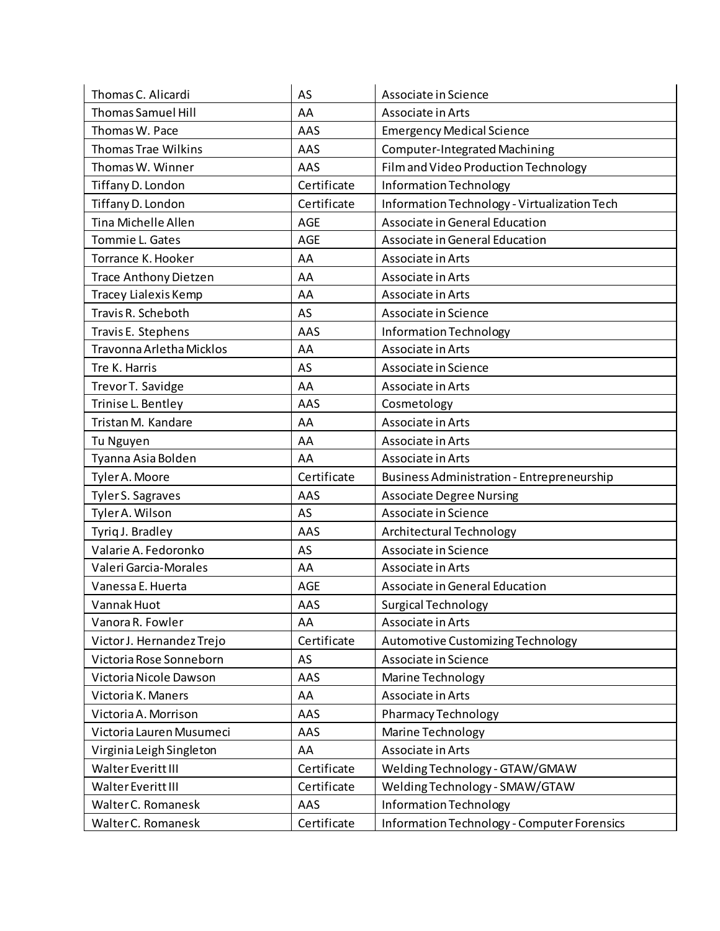| Thomas C. Alicardi           | AS          | Associate in Science                         |
|------------------------------|-------------|----------------------------------------------|
| <b>Thomas Samuel Hill</b>    | AA          | Associate in Arts                            |
| Thomas W. Pace               | AAS         | <b>Emergency Medical Science</b>             |
| <b>Thomas Trae Wilkins</b>   | AAS         | <b>Computer-Integrated Machining</b>         |
| Thomas W. Winner             | AAS         | Film and Video Production Technology         |
| Tiffany D. London            | Certificate | Information Technology                       |
| Tiffany D. London            | Certificate | Information Technology - Virtualization Tech |
| Tina Michelle Allen          | <b>AGE</b>  | Associate in General Education               |
| Tommie L. Gates              | <b>AGE</b>  | Associate in General Education               |
| Torrance K. Hooker           | AA          | Associate in Arts                            |
| <b>Trace Anthony Dietzen</b> | AA          | Associate in Arts                            |
| Tracey Lialexis Kemp         | AA          | Associate in Arts                            |
| Travis R. Scheboth           | AS          | Associate in Science                         |
| Travis E. Stephens           | AAS         | Information Technology                       |
| Travonna Arletha Micklos     | AA          | Associate in Arts                            |
| Tre K. Harris                | AS          | Associate in Science                         |
| Trevor T. Savidge            | AA          | Associate in Arts                            |
| Trinise L. Bentley           | AAS         | Cosmetology                                  |
| Tristan M. Kandare           | AA          | Associate in Arts                            |
| Tu Nguyen                    | AA          | Associate in Arts                            |
| Tyanna Asia Bolden           | AA          | Associate in Arts                            |
| Tyler A. Moore               | Certificate | Business Administration - Entrepreneurship   |
| Tyler S. Sagraves            | AAS         | <b>Associate Degree Nursing</b>              |
| Tyler A. Wilson              | AS          | Associate in Science                         |
| Tyriq J. Bradley             | AAS         | Architectural Technology                     |
| Valarie A. Fedoronko         | AS          | Associate in Science                         |
| Valeri Garcia-Morales        | AA          | Associate in Arts                            |
| Vanessa E. Huerta            | AGE         | Associate in General Education               |
| Vannak Huot                  | AAS         | <b>Surgical Technology</b>                   |
| Vanora R. Fowler             | AA          | Associate in Arts                            |
| Victor J. Hernandez Trejo    | Certificate | Automotive Customizing Technology            |
| Victoria Rose Sonneborn      | AS          | Associate in Science                         |
| Victoria Nicole Dawson       | AAS         | Marine Technology                            |
| Victoria K. Maners           | AA          | Associate in Arts                            |
| Victoria A. Morrison         | AAS         | <b>Pharmacy Technology</b>                   |
| Victoria Lauren Musumeci     | AAS         | Marine Technology                            |
| Virginia Leigh Singleton     | AA          | Associate in Arts                            |
| Walter Everitt III           | Certificate | Welding Technology - GTAW/GMAW               |
| Walter Everitt III           | Certificate | Welding Technology - SMAW/GTAW               |
| Walter C. Romanesk           | AAS         | Information Technology                       |
| Walter C. Romanesk           | Certificate | Information Technology - Computer Forensics  |